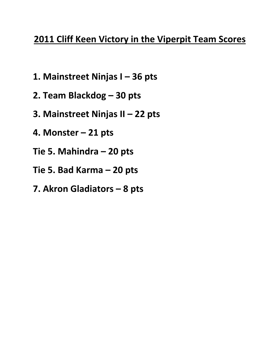# **2011 Cliff Keen Victory in the Viperpit Team Scores**

- **1. Mainstreet Ninjas I – 36 pts**
- **2. Team Blackdog – 30 pts**
- **3. Mainstreet Ninjas II – 22 pts**
- **4. Monster – 21 pts**
- **Tie 5. Mahindra – 20 pts**
- **Tie 5. Bad Karma – 20 pts**
- **7. Akron Gladiators – 8 pts**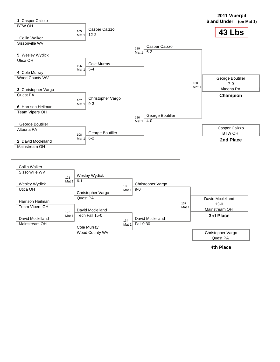

**4th Place**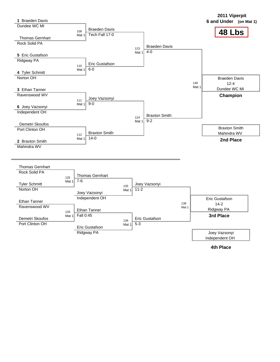**48 Lbs 2011 Viperpit 1 6 and Under (on Mat 1)** Braeden Davis Dundee WC MI 109 Mat 1 Thomas Gernhart Rock Solid PA **5** Eric Gustafson Ridgway PA 110 Mat 1 **4** Tyler Schmitt Norton OH **3** Ethan Tanner Ravenswood WV 111 Mat 1 **6** Joey Vazsonyi Independent OH Demetri Skoufos Port Clinton OH 112 Mat 1 **2** Braxton Smith Mahindra WV Braeden Davis Tech Fall 17-0 123 Mat 1 Eric Gustafson 6-0 Joey Vazsonyi 9-0 124 Mat 1 Braxton Smith  $14 - 0$ Braeden Davis 4-0  $140$ Mat 1 Braxton Smith  $9 - 2$ Braeden Davis 12-4 Dundee WC MI Braxton Smith Mahindra WV **Champion 2nd Place** Thomas Gernhart Rock Solid PA 125 Mat 1 Tyler Schmitt Norton OH Ethan Tanner Ravenswood WV 126 Mat 1 Demetri Skoufos Port Clinton OH Thomas Gernhart 7-6 135 Mat 1 Joey Vazsonyi Independent OH Ethan Tanner Fall 0:45 136 Mat 1 Eric Gustafson Ridgway PA Joey Vazsonyi 11-2 139 Mat 1 Eric Gustafson 5-3 Eric Gustafson 14-2 Ridgway PA **3rd Place** Joey Vazsonyi Independent OH

**4th Place**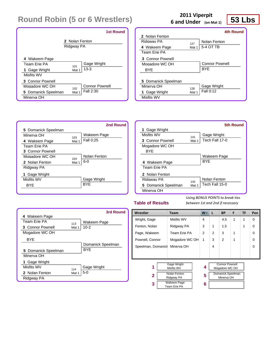|                              | <b>1st Round</b>      |  |  |
|------------------------------|-----------------------|--|--|
| 2 Nolan Fenton<br>Ridgway PA |                       |  |  |
| 4 Wakeem Page                | Gage Wright           |  |  |
| Team Frie PA                 | 101                   |  |  |
| 1 Gage Wright                | $13 - 3$              |  |  |
| Misfits WV                   | Mat 1                 |  |  |
| 3 Connor Pownell             | <b>Connor Pownell</b> |  |  |
| Mogadore WC OH               | 102                   |  |  |
| 5 Domanick Speelman          | Fall 2:30             |  |  |
| Minerva OH                   | Mat 1                 |  |  |

# **53 Lbs <sup>2011</sup> Viperpit 6 and Under (on Mat 1)**

|                     |       | <b>4th Round</b>      |
|---------------------|-------|-----------------------|
| 2 Nolan Fenton      |       |                       |
| Ridgway PA          | 127   | Nolan Fenton          |
| 4 Wakeem Page       | Mat 1 | 5-4 OT TB             |
| Team Erie PA        |       |                       |
| 3 Connor Pownell    |       |                       |
| Mogadore WC OH      |       | <b>Connor Pownell</b> |
| BYE                 |       | <b>BYF</b>            |
|                     |       |                       |
| 5 Domanick Speelman |       |                       |
| Minerva OH          | 128   | Gage Wright           |
| 1 Gage Wright       | Mat 1 | Fall 0:12             |
| Misfits WV          |       |                       |

|                     |       | 2nd Round    |
|---------------------|-------|--------------|
| 5 Domanick Speelman |       |              |
| Minerva OH          | 103   | Wakeem Page  |
| 4 Wakeem Page       | Mat 1 | Fall 0:25    |
| Team Frie PA        |       |              |
| 3 Connor Pownell    |       |              |
| Mogadore WC OH      | 104   | Nolan Fenton |
| 2 Nolan Fenton      | Mat 1 | $6 - 0$      |
| Ridgway PA          |       |              |
| Gage Wright         |       |              |
| Misfits WV          |       | Gage Wright  |
| BYF                 |       | <b>BYF</b>   |
|                     |       |              |

|                     |       | 5th Round      |
|---------------------|-------|----------------|
| 1 Gage Wright       |       |                |
| Misfits WV          | 141   | Gage Wright    |
| 3 Connor Pownell    | Mat 1 | Tech Fall 17-0 |
| Mogadore WC OH      |       |                |
| <b>BYF</b>          |       |                |
|                     |       | Wakeem Page    |
| 4 Wakeem Page       |       | <b>BYF</b>     |
| Team Frie PA        |       |                |
| 2 Nolan Fenton      |       |                |
| Ridaway PA          | 142   | Nolan Fenton   |
| 5 Domanick Speelman | Mat 1 | Tech Fall 15-0 |
| Minerva OH          |       |                |

### **Table of Results**

|                     |       | 3rd Round         |
|---------------------|-------|-------------------|
| 4 Wakeem Page       |       |                   |
| Team Frie PA        | 113   | Wakeem Page       |
| 3 Connor Pownell    | Mat 1 | $10 - 2$          |
| Mogadore WC OH      |       |                   |
| <b>BYF</b>          |       |                   |
|                     |       | Domanick Speelman |
| 5 Domanick Speelman |       | <b>BYF</b>        |
| Minerva OH          |       |                   |
| 1 Gage Wright       |       |                   |
| Misfits WV          | 114   | Gage Wright       |
| 2 Nolan Fenton      | Mat 1 | $5-0$             |
| Ridgway PA          |       |                   |

| Wrestler<br><b>Team</b>                 |                                  | $W^-$          | L              | <b>BP</b>                       | F | TF | Pen      |
|-----------------------------------------|----------------------------------|----------------|----------------|---------------------------------|---|----|----------|
| Wright, Gage                            | Misfits WV                       | 4              |                | 4.5                             | 1 | 1  | $\Omega$ |
| Fenton, Nolan                           | Ridgway PA                       | 3              | 1              | 1.5                             |   | 1  | $\Omega$ |
| Page, Wakeem                            | Team Erie PA                     | $\overline{2}$ | $\mathfrak{p}$ | 3                               | 1 |    | $\Omega$ |
| Pownell, Connor                         | Mogadore WC OH                   | 1              | 3              | $\overline{2}$                  | 1 |    | $\Omega$ |
| Speelman, Domanich                      | Minerva OH                       |                | 4              |                                 |   |    | $\Omega$ |
|                                         |                                  |                |                |                                 |   |    |          |
| 1                                       | <b>Gage Wright</b><br>Misfits WV | 4              |                | <b>Connor Pownell</b>           |   |    |          |
|                                         |                                  |                |                | Mogadore WC OH                  |   |    |          |
| Nolan Fenton<br>2<br>Ridgway PA         |                                  | 5              |                | Domanick Speelman<br>Minerva OH |   |    |          |
| <b>Wakeem Page</b><br>3<br>Team Erie PA |                                  | 6              |                |                                 |   |    |          |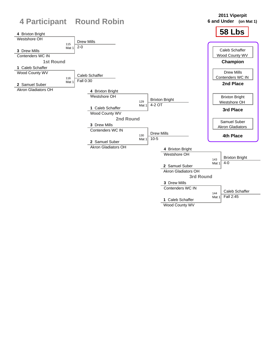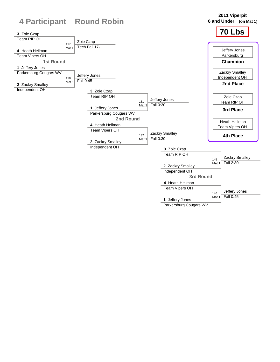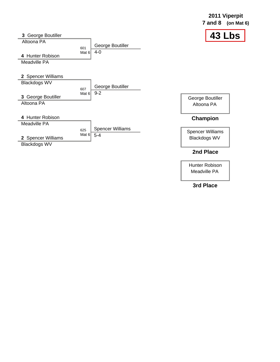|                     |                                                    | $7$ and $8$<br>(on Mat $6$ ) |
|---------------------|----------------------------------------------------|------------------------------|
| 3 George Boutiller  |                                                    | 43 Lbs                       |
| Altoona PA          | George Boutiller<br>601                            |                              |
| 4 Hunter Robison    | $4-0$<br>Mat 6                                     |                              |
| Meadville PA        |                                                    |                              |
| 2 Spencer Williams  |                                                    |                              |
| <b>Blackdogs WV</b> | George Boutiller                                   |                              |
| 3 George Boutiller  | 607<br>$9 - 2$<br>Mat $6$                          | George Boutiller             |
| Altoona PA          |                                                    | Altoona PA                   |
| 4 Hunter Robison    |                                                    | <b>Champion</b>              |
| Meadville PA        |                                                    |                              |
|                     | <b>Spencer Williams</b><br>625<br>Mat $6$<br>$5-4$ | <b>Spencer Williams</b>      |
| 2 Spencer Williams  |                                                    | <b>Blackdogs WV</b>          |
| <b>Blackdogs WV</b> |                                                    |                              |

## **2nd Place**

**2011 Viperpit**

Hunter Robison Meadville PA

**3rd Place**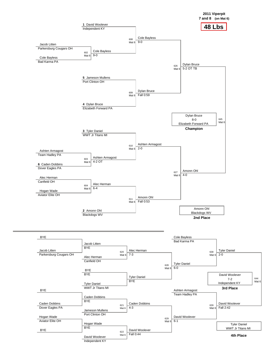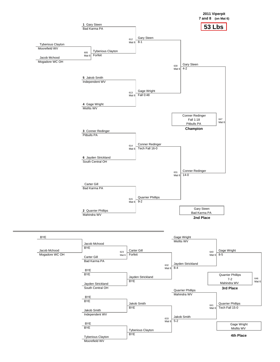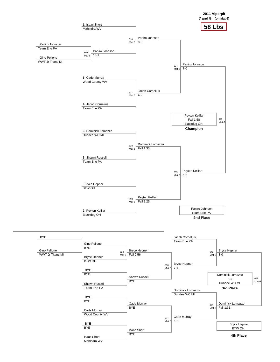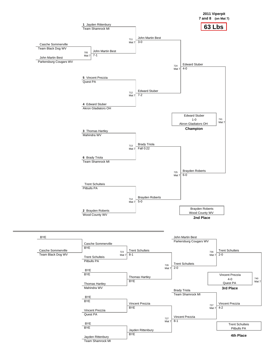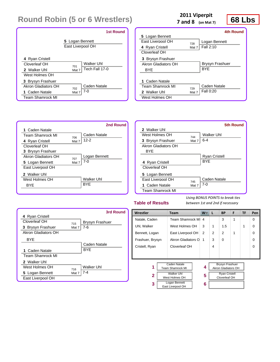|                                           | <b>1st Round</b>                     |
|-------------------------------------------|--------------------------------------|
|                                           | 5 Logan Bennett<br>East Liverpool OH |
| 4 Ryan Cristell<br>Cloverleaf OH          | Walker Uhl                           |
| 2 Walker Uhl                              | 701<br>Tech Fall 17-0<br>Mat 7       |
| West Holmes OH<br>3 Brysyn Frashuer       |                                      |
| Akron Gladiators OH                       | Caden Natale<br>702                  |
| 1 Caden Natale<br><b>Team Shamrock MI</b> | 7-0<br>Mat 7                         |

# 2011 Viperpit<br>  $\begin{array}{ccc} \n\sqrt{2} & 68 \text{ Lbs} \\
\hline\n\end{array}$

**7 and 8 (on Mat 7)**

|                          |       | 4th Round              |
|--------------------------|-------|------------------------|
| 5 Logan Bennett          |       |                        |
| <b>Fast Liverpool OH</b> | 728   | Logan Bennett          |
| 4 Ryan Cristell          | Mat 7 | Fall 2:10              |
| Cloverleaf OH            |       |                        |
| 3 Brysyn Frashuer        |       |                        |
| Akron Gladiators OH      |       | <b>Brysyn Frashuer</b> |
| BYF                      |       | <b>BYF</b>             |
|                          |       |                        |
| 1 Caden Natale           |       |                        |
| <b>Team Shamrock MI</b>  | 729   | Caden Natale           |
| 2 Walker Uhl             | Mat 7 | Fall 0:20              |
| West Holmes OH           |       |                        |
|                          |       |                        |





### **Table of Results**

|                         |       | 3rd Round              |
|-------------------------|-------|------------------------|
| 4 Ryan Cristell         |       |                        |
| Cloverleaf OH           | 715   | <b>Brysyn Frashuer</b> |
| 3 Brysyn Frashuer       | Mat 7 | 7-6                    |
| Akron Gladiators OH     |       |                        |
| <b>BYF</b>              |       |                        |
|                         |       | Caden Natale           |
| 1 Caden Natale          |       | <b>BYF</b>             |
| <b>Team Shamrock MI</b> |       |                        |
| 2 Walker Uhl            |       |                        |
| West Holmes OH          | 716   | Walker Uhl             |
| 5 Logan Bennett         | Mat 7 | $7 - 4$                |
| East Liverpool OH       |       |                        |

| Wrestler                          | <b>Team</b>        | W. | L | <b>BP</b>                  | F | <b>TF</b> | Pen      |
|-----------------------------------|--------------------|----|---|----------------------------|---|-----------|----------|
| Natale, Caden                     | Team Shamrock MI   | 4  |   | 3                          | 1 |           | $\Omega$ |
| Uhl, Walker                       | West Holmes OH     | 3  | 1 | 1.5                        |   | 1         | $\Omega$ |
| Bennett, Logan                    | East Liverpool OH  | 2  | 2 | $\mathfrak{p}$             | 1 |           | $\Omega$ |
| Frashuer, Brysyn                  | Akron Gladiators O | 1  | 3 | $\Omega$                   |   |           | $\Omega$ |
| Cristell, Ryan                    | Cloverleaf OH      |    | 4 |                            |   |           | $\Omega$ |
|                                   |                    |    |   |                            |   |           |          |
|                                   |                    |    |   |                            |   |           |          |
|                                   | Caden Natale       |    |   | <b>Brysyn Frashuer</b>     |   |           |          |
| 1<br><b>Team Shamrock MI</b>      |                    | 4  |   | <b>Akron Gladiators OH</b> |   |           |          |
| <b>Walker Uhl</b><br>$\mathbf{2}$ |                    | 5  |   | <b>Ryan Cristell</b>       |   |           |          |
|                                   | West Holmes OH     |    |   | Cloverleaf OH              |   |           |          |
| Logan Bennett<br>3                |                    | 6  |   |                            |   |           |          |
| East Liverpool OH                 |                    |    |   |                            |   |           |          |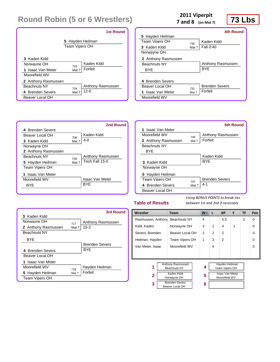|                     | <b>1st Round</b>                          |
|---------------------|-------------------------------------------|
|                     | 5 Hayden Heilman<br><b>Team Vipers OH</b> |
| 3 Kaden Kidd        | Kaden Kidd                                |
| Norwayne OH         | 703                                       |
| 1 Isaac Van Meter   | Forfeit                                   |
| Moorefield WV       | Mat 7                                     |
| 2 Anthony Rasmussen | Anthony Rasmussen                         |
| <b>Beachnuts NY</b> | 704                                       |
| 4 Brenden Severs    | $12 - 0$                                  |
| Beaver Local OH     | Mat 7                                     |

# **73 Lbs**<br> **2011 Viperpit**<br> **73 Lbs**

**7 and 8 (on Mat 7)**

|                                                                           |              | 4th Round                        |
|---------------------------------------------------------------------------|--------------|----------------------------------|
| 5 Hayden Heilman                                                          |              |                                  |
| <b>Team Viners OH</b>                                                     | 730          | Kaden Kidd                       |
| 3 Kaden Kidd                                                              | Mat 7        | Fall 0:40                        |
| Norwayne OH                                                               |              |                                  |
| 2 Anthony Rasmussen                                                       |              |                                  |
| <b>Beachnuts NY</b>                                                       |              | Anthony Rasmussen                |
| <b>BYF</b>                                                                |              | <b>BYF</b>                       |
| 4 Brenden Severs<br>Beaver Local OH<br>1 Isaac Van Meter<br>Moorefield WV | 731<br>Mat 7 | <b>Brenden Severs</b><br>Forfeit |
|                                                                           |              |                                  |

|                       |       | 2nd Round              |
|-----------------------|-------|------------------------|
| 4 Brenden Severs      |       |                        |
| Beaver Local OH       | 708   | Kaden Kidd             |
| 3 Kaden Kidd          | Mat 7 | $4-0$                  |
| Norwayne OH           |       |                        |
| 2 Anthony Rasmussen   |       |                        |
| <b>Beachnuts NY</b>   | 709   | Anthony Rasmussen      |
| 5 Hayden Heilman      | Mat 7 | Tech Fall 15-0         |
| <b>Team Vipers OH</b> |       |                        |
| Isaac Van Meter<br>1  |       |                        |
| Moorefield WV         |       | <b>Isaac Van Meter</b> |
| BYF                   |       | <b>BYF</b>             |
|                       |       |                        |

|                       |       | 5th Round             |
|-----------------------|-------|-----------------------|
| 1 Isaac Van Meter     |       |                       |
| Moorefield WV         | 746   | Anthony Rasmussen     |
| 2 Anthony Rasmussen   | Mat 7 | Forfeit               |
| <b>Beachnuts NY</b>   |       |                       |
| <b>BYE</b>            |       |                       |
|                       |       | Kaden Kidd            |
| 3 Kaden Kidd          |       | <b>BYF</b>            |
| Norwayne OH           |       |                       |
| 5 Hayden Heilman      |       |                       |
| <b>Team Viners OH</b> | 747   | <b>Brenden Severs</b> |
| 4 Brenden Severs      | Mat 7 | $4 - 1$               |
| Beaver Local OH       |       |                       |

### **Table of Results**

|                     |       | 3rd Round             |
|---------------------|-------|-----------------------|
| 3 Kaden Kidd        |       |                       |
| Norwayne OH         | 717   | Anthony Rasmussen     |
| 2 Anthony Rasmussen | Mat 7 | $15 - 2$              |
| <b>Beachnuts NY</b> |       |                       |
| BYF                 |       |                       |
|                     |       | <b>Brenden Severs</b> |
| 4 Brenden Severs    |       | <b>BYF</b>            |
| Beaver Local OH     |       |                       |
| 1 Isaac Van Meter   |       |                       |
| Moorefield WV       | 718   | Hayden Heilman        |
| 5 Hayden Heilman    | Mat 7 | Forfeit               |
| Team Vipers OH      |       |                       |

| Wrestler                                      |                                          | <b>Team</b>     | $W^-$          | L                                       | <b>BP</b>                               | F | <b>TF</b> | Pen      |
|-----------------------------------------------|------------------------------------------|-----------------|----------------|-----------------------------------------|-----------------------------------------|---|-----------|----------|
| Rasmussen, Anthony                            |                                          | Beachnuts NY    | 4              |                                         | 5.5                                     |   | 1         | $\Omega$ |
| Kidd, Kaden                                   |                                          | Norwayne OH     | 3              | 1                                       | 4                                       | 1 |           | $\Omega$ |
| Severs, Brenden                               |                                          | Beaver Local OH | $\overline{2}$ | 2                                       | $\overline{2}$                          |   |           | $\Omega$ |
| Heilman, Hayden                               |                                          | Team Vipers OH  | 1              | 3                                       | $\mathcal{P}$                           |   |           | $\Omega$ |
| Van Meter, Isaac                              |                                          | Moorefield WV   |                | 4                                       |                                         |   |           | 0        |
|                                               |                                          |                 |                |                                         |                                         |   |           |          |
|                                               |                                          |                 |                |                                         |                                         |   |           |          |
| <b>Anthony Rasmussen</b><br>1<br>Beachnuts NY |                                          | 4               |                | Hayden Heilman<br><b>Team Vipers OH</b> |                                         |   |           |          |
| 2                                             | Kaden Kidd<br>Norwayne OH                |                 | 5              |                                         | <b>Isaac Van Meter</b><br>Moorefield WV |   |           |          |
| 3                                             | <b>Brenden Severs</b><br>Beaver Local OH |                 | 6              |                                         |                                         |   |           |          |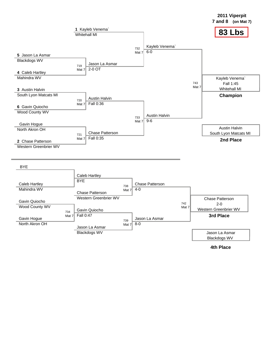

**<sup>4</sup>th Place**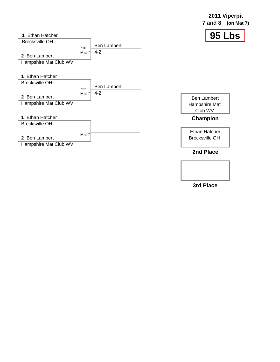

**3rd Place**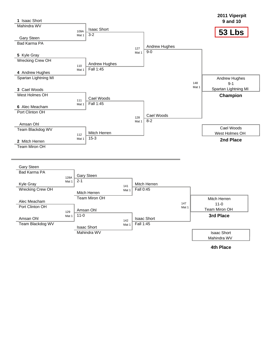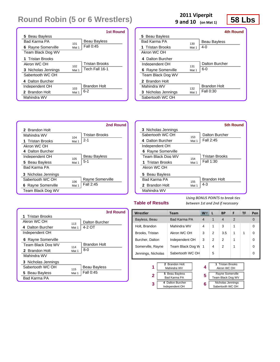|                     |       | <b>1st Round</b>      |
|---------------------|-------|-----------------------|
| 5 Beau Bayless      |       |                       |
| <b>Bad Karma PA</b> | 101   | Beau Bayless          |
| 6 Rayne Somerville  | Mat 1 | Fall 0:45             |
| Team Black Dog WV   |       |                       |
| 1 Tristan Brooks    |       |                       |
| Akron WC OH         | 102   | <b>Tristan Brooks</b> |
| 3 Nicholas Jennings | Mat 1 | Tech Fall 16-1        |
| Sabertooth WC OH    |       |                       |
| 4 Dalton Burcher    |       |                       |
| Independent OH      | 103   | <b>Brandon Holt</b>   |
| 2 Brandon Holt      | Mat 1 | $6 - 2$               |
| Mahindra WV         |       |                       |

# **2011 Viperpit**<br>and 10 (on Mat 1) **58 Lbs**

**9 and 10 (on Mat 1)**

|                           |       | 4th Round           |
|---------------------------|-------|---------------------|
| 5 Beau Bayless            |       |                     |
| Bad Karma PA              | 130   | Beau Bayless        |
| 1 Tristan Brooks          | Mat 1 | 4-0                 |
| Akron WC OH               |       |                     |
| 4 Dalton Burcher          |       |                     |
| Independent OH            | 131   | Dalton Burcher      |
| <b>6</b> Rayne Somerville | Mat 1 | $6-0$               |
| Team Black Dog WV         |       |                     |
| 2 Brandon Holt            |       |                     |
| Mahindra WV               | 132   | <b>Brandon Holt</b> |
| 3 Nicholas Jennings       | Mat 1 | Fall 0:30           |
| Sabertooth WC OH          |       |                     |



|                            |       | 5th Round           |
|----------------------------|-------|---------------------|
| <b>3</b> Nicholas Jennings |       |                     |
| Sabertooth WC OH           | 153   | Dalton Burcher      |
| 4 Dalton Burcher           | Mat 1 | Fall 2:45           |
| Independent OH             |       |                     |
| <b>6</b> Rayne Somerville  |       |                     |
| Team Black Dog WV          | 154   | Tristan Brooks      |
| 1 Tristan Brooks           | Mat 1 | Fall 1:30           |
| Akron WC OH                |       |                     |
| 5 Beau Bayless             |       |                     |
| <b>Bad Karma PA</b>        | 155   | <b>Brandon Holt</b> |
| 2 Brandon Holt             | Mat 1 | $4 - 3$             |
| Mahindra WV                |       |                     |

### **Table of Results**

*Using BONUS POINTS to break ties between 1st and 2nd if necessary*

|                            |       | 3rd Round           |
|----------------------------|-------|---------------------|
| 1 Tristan Brooks           |       |                     |
| Akron WC OH                | 113   | Dalton Burcher      |
| 4 Dalton Burcher           | Mat 1 | 4-2 OT              |
| Independent OH             |       |                     |
| <b>6</b> Rayne Somerville  |       |                     |
| Team Black Dog WV          | 114   | <b>Brandon Holt</b> |
| 2 Brandon Holt             | Mat 1 | $8 - 0$             |
| Mahindra WV                |       |                     |
| <b>3</b> Nicholas Jennings |       |                     |
| Sabertooth WC OH           | 115   | Beau Bayless        |
| 5 Beau Bayless             | Mat 1 | Fall 0:45           |
| <b>Bad Karma PA</b>        |       |                     |

| Wrestler           | Team                | W              | L            | <b>BP</b>             | F              | <b>TF</b> | Pen         |
|--------------------|---------------------|----------------|--------------|-----------------------|----------------|-----------|-------------|
| Bayless, Beau      | <b>Bad Karma PA</b> | $\overline{4}$ | $\mathbf{1}$ | $\overline{4}$        | $\overline{2}$ |           | $\mathbf 0$ |
| Holt, Brandon      | Mahindra WV         | 4              | 1            | 3                     | 1              |           | $\Omega$    |
| Brooks, Tristan    | Akron WC OH         | 3              | 2            | 3.5                   | 1              | 1         | $\Omega$    |
| Burcher, Dalton    | Independent OH      | 3              | 2            | 2                     | 1              |           | 0           |
| Somerville, Rayne  | Team Black Dog W    | 1              | 4            | 2                     | 1              |           | 0           |
| Jennings, Nicholas | Sabertooth WC OH    |                | 5            |                       |                |           | $\Omega$    |
|                    | 2 Brandon Holt      |                |              | <b>Tristan Brooks</b> |                |           |             |
| 1                  | Mahindra WV         | 4              |              | Akron WC OH           |                |           |             |

**5 6**

| 2 | 5 Beau Bayless<br>Bad Karma PA     |
|---|------------------------------------|
| 3 | 4 Dalton Burcher<br>Independent OH |

| 1 Tristan Brooks<br>Akron WC OH              |
|----------------------------------------------|
| <b>Rayne Somerville</b><br>Team Black Dog WV |
| Nicholas Jennings<br>Sabertooth WC OH        |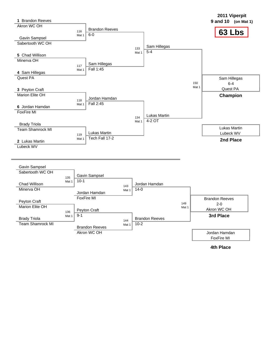

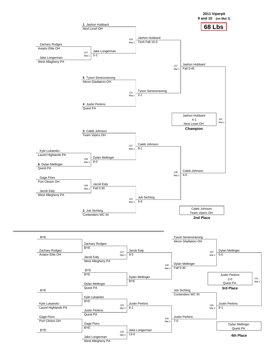



West Allegheny PA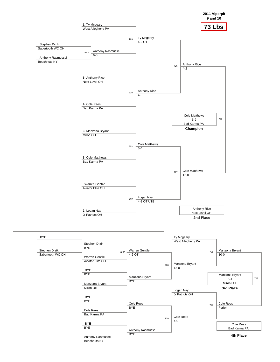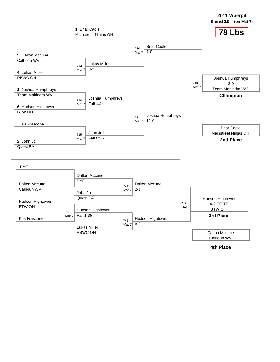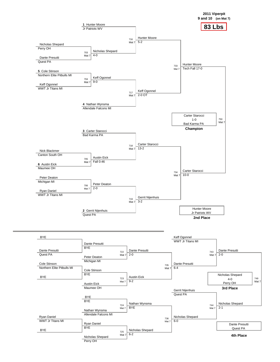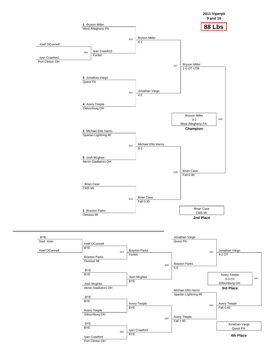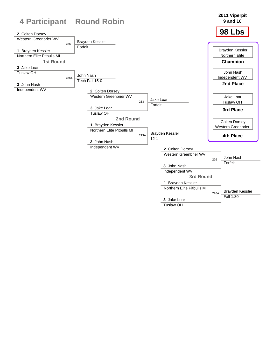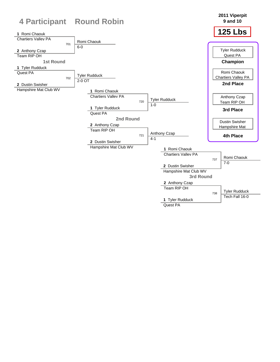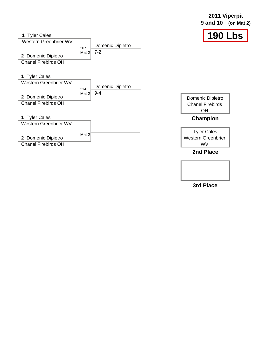**2011 Viperpit 9 and 10 (on Mat 2)**





**3rd Place**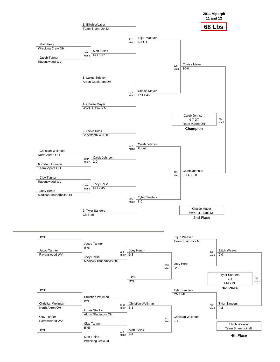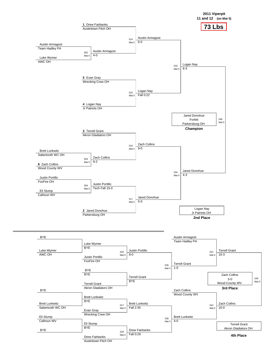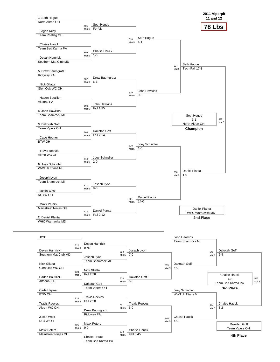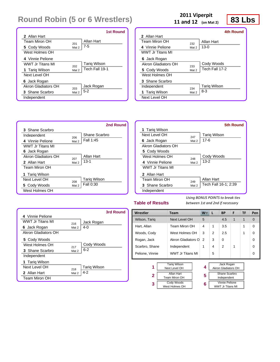|                      |       | <b>1st Round</b>    |
|----------------------|-------|---------------------|
| 2 Allan Hart         |       |                     |
| <b>Team Miron OH</b> | 201   | Allan Hart          |
| 5 Cody Woods         | Mat 2 | $7 - 5$             |
| West Holmes OH       |       |                     |
| 4 Vinnie Pelione     |       |                     |
| WWT Jr Titans MI     | 202   | <b>Tarig Wilson</b> |
| 1 Tariq Wilson       | Mat 2 | Tech Fall 19-1      |
| Next Level OH        |       |                     |
| 6 Jack Rogan         |       |                     |
| Akron Gladiators OH  | 203   | Jack Rogan          |
| 3 Shane Scarbro      | Mat 2 | $5-2$               |
| Independent          |       |                     |

# **2011 Viperpit**<br> **2011 Viperpit**<br> **23 Lbs**

**11 and 12 (on Mat 2)**

|                         |       | 4th Round           |
|-------------------------|-------|---------------------|
| 2 Allan Hart            |       |                     |
| Team Miron OH           | 232   | Allan Hart          |
| 4 Vinnie Pelione        | Mat 2 | $13-0$              |
| <b>WWT Jr Titans MI</b> |       |                     |
| 6 Jack Rogan            |       |                     |
| Akron Gladiators OH     | 233   | Cody Woods          |
| 5 Cody Woods            | Mat 2 | Tech Fall 17-2      |
| West Holmes OH          |       |                     |
| <b>3</b> Shane Scarbro  |       |                     |
| Independent             | 234   | <b>Tariq Wilson</b> |
| 1 Tariq Wilson          | Mat 2 | 8-3                 |
| Next Level OH           |       |                     |

|                     |       | 2nd Round           |
|---------------------|-------|---------------------|
| 3 Shane Scarbro     |       |                     |
| Independent         | 206   | Shane Scarbro       |
| 4 Vinnie Pelione    | Mat 2 | Fall 1:45           |
| WWT Jr Titans MI    |       |                     |
| 6 Jack Rogan        |       |                     |
| Akron Gladiators OH | 207   | Allan Hart          |
| 2 Allan Hart        | Mat 2 | $13 - 1$            |
| Team Miron OH       |       |                     |
| 1 Tariq Wilson      |       |                     |
| Next Level OH       | 208   | <b>Tariq Wilson</b> |
| 5 Cody Woods        | Mat 2 | Fall 0:30           |
| West Holmes OH      |       |                     |

|                     |       | <b>5th Round</b>     |
|---------------------|-------|----------------------|
| 1 Tarig Wilson      |       |                      |
| Next Level OH       | 247   | <b>Tarig Wilson</b>  |
| 6 Jack Rogan        | Mat 2 | $17 - 6$             |
| Akron Gladiators OH |       |                      |
| 5 Cody Woods        |       |                      |
| West Holmes OH      | 248   | Cody Woods           |
| 4 Vinnie Pelione    | Mat 2 | $13 - 2$             |
| WWT Jr Titans MI    |       |                      |
| 2 Allan Hart        |       |                      |
| Team Miron OH       | 249   | Allan Hart           |
| 3 Shane Scarbro     | Mat 2 | Tech Fall 16-1; 2:39 |
| Independent         |       |                      |

### **Table of Results**

**3**

*Using BONUS POINTS to break ties between 1st and 2nd if necessary*

> Vinnie Pelione WWT Jr Titans MI

|                         |       | 3rd Round           |
|-------------------------|-------|---------------------|
| 4 Vinnie Pelione        |       |                     |
| <b>WWT Jr Titans MI</b> | 216   | Jack Rogan          |
| 6 Jack Rogan            | Mat 2 | $4-0$               |
| Akron Gladiators OH     |       |                     |
| 5 Cody Woods            |       |                     |
| West Holmes OH          | 217   | Cody Woods          |
| 3 Shane Scarbro         | Mat 2 | $6 - 2$             |
| Independent             |       |                     |
| 1 Tarig Wilson          |       |                     |
| Next Level OH           | 218   | <b>Tariq Wilson</b> |
| 2 Allan Hart            | Mat 2 | $4-2$               |
| Team Miron OH           |       |                     |

| Wrestler                                  | <b>Team</b>                        | $W^-$ | L | <b>BP</b>                                | F            | TF | Pen      |
|-------------------------------------------|------------------------------------|-------|---|------------------------------------------|--------------|----|----------|
| Wilson, Tariq                             | <b>Next Level OH</b>               | 5     |   | 4.5                                      | $\mathbf{1}$ | 1  | $\Omega$ |
| Hart, Allan                               | Team Miron OH                      | 4     | 1 | 3.5                                      |              | 1  | $\Omega$ |
| Woods, Cody                               | West Holmes OH                     | 3     | 2 | 2.5                                      |              | 1  | $\Omega$ |
| Rogan, Jack                               | Akron Gladiators O                 | 2     | 3 | $\Omega$                                 |              |    | $\Omega$ |
| Scarbro, Shane                            | Independent                        | 1     | 4 | $\mathfrak{p}$                           | 1            |    | 0        |
| Pelione, Vinnie                           | WWT Jr Titans MI                   |       | 5 |                                          |              |    | 0        |
| <b>Tarig Wilson</b><br>1<br>Next Level OH |                                    | 4     |   | Jack Rogan<br><b>Akron Gladiators OH</b> |              |    |          |
| $\mathbf{2}$                              | <b>Allan Hart</b><br>Team Miron OH | 5     |   | Shane Scarbro<br>Independent             |              |    |          |

**6**

 Cody Woods West Holmes OH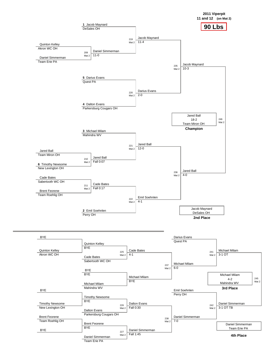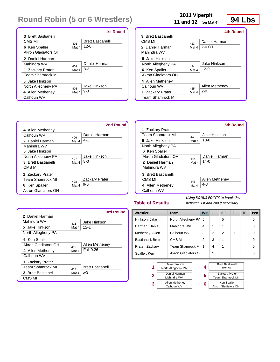|                            |       | <b>1st Round</b>         |
|----------------------------|-------|--------------------------|
| <b>3</b> Brett Bastianelli |       |                          |
| CMS MI                     | 401   | <b>Brett Bastianelli</b> |
| 6 Ken Spaller              | Mat 4 | $12 - 0$                 |
| Akron Gladiators OH        |       |                          |
| 2 Daniel Harman            |       |                          |
| Mahindra WV                | 402   | Daniel Harman            |
| 1 Zackary Prater           | Mat 4 | $8 - 3$                  |
| <b>Team Shamrock MI</b>    |       |                          |
| 5 Jake Hinkson             |       |                          |
| North Allegheny PA         | 403   | Jake Hinkson             |
| 4 Allen Metheney           | Mat 4 | $9-0$                    |
| Calhoun WV                 |       |                          |

# **2011 Viperpit**<br> **2011 Viperpit**<br> **94 Lbs**

**11 and 12 (on Mat 4)**

|                            |       | 4th Round      |
|----------------------------|-------|----------------|
| <b>3</b> Brett Bastianelli |       |                |
| CMS MI                     | 423   | Daniel Harman  |
| 2 Daniel Harman            | Mat 4 | 2-0 OT         |
| Mahindra WV                |       |                |
| 5 Jake Hinkson             |       |                |
| North Allegheny PA         | 424   | Jake Hinkson   |
| 6 Ken Spaller              | Mat 4 | $12 - 0$       |
| Akron Gladiators OH        |       |                |
| 4 Allen Metheney           |       |                |
| Calhoun WV                 | 425   | Allen Metheney |
| 1 Zackary Prater           | Mat 4 | 2-0            |
| <b>Team Shamrock MI</b>    |       |                |

|                         |       | 2nd Round      |
|-------------------------|-------|----------------|
| 4 Allen Metheney        |       |                |
| Calhoun WV              | 406   | Daniel Harman  |
| 2 Daniel Harman         | Mat 4 | $4 - 1$        |
| Mahindra WV             |       |                |
| 5 Jake Hinkson          |       |                |
| North Allegheny PA      | 407   | Jake Hinkson   |
| 3 Brett Bastianelli     | Mat 4 | $8 - 0$        |
| CMS MI                  |       |                |
| 1 Zackary Prater        |       |                |
| <b>Team Shamrock MI</b> | 408   | Zackary Prater |
| 6 Ken Spaller           | Mat 4 | 9-0            |
| Akron Gladiators OH     |       |                |

|                         |       | 5th Round      |
|-------------------------|-------|----------------|
| 1 Zackary Prater        |       |                |
| <b>Team Shamrock MI</b> | 443   | Jake Hinkson   |
| 5. Jake Hinkson         | Mat 4 | $10 - 0$       |
| North Allegheny PA      |       |                |
| 6 Ken Spaller           |       |                |
| Akron Gladiators OH     | 444   | Daniel Harman  |
| 2 Daniel Harman         | Mat 4 | 14-0           |
| Mahindra WV             |       |                |
| 3 Brett Bastianelli     |       |                |
| CMS MI                  | 445   | Allen Metheney |
| 4 Allen Metheney        | Mat 4 | $4 - 3$        |
| Calhoun WV              |       |                |

### **Table of Results**

|                            |       | 3rd Round                |
|----------------------------|-------|--------------------------|
| 2 Daniel Harman            |       |                          |
| Mahindra WV                | 411   | Jake Hinkson             |
| 5 Jake Hinkson             | Mat 4 | $12 - 1$                 |
| North Allegheny PA         |       |                          |
| 6 Ken Spaller              |       |                          |
| Akron Gladiators OH        | 412   | Allen Metheney           |
| 4 Allen Metheney           | Mat 4 | Fall 0:26                |
| Calhoun WV                 |       |                          |
| 1 Zackary Prater           |       |                          |
| <b>Team Shamrock MI</b>    | 413   | <b>Brett Bastianelli</b> |
| <b>3</b> Brett Bastianelli | Mat 4 | $5-3$                    |
| CMS MI                     |       |                          |

| Wrestler                                                                           | Team                 | $W^-$ | L             | <b>BP</b>      | F | <b>TF</b> | Pen      |
|------------------------------------------------------------------------------------|----------------------|-------|---------------|----------------|---|-----------|----------|
| Hinkson, Jake                                                                      | North Allegheny PA 5 |       |               | 5              |   |           | $\Omega$ |
| Harman, Daniel                                                                     | Mahindra WV          | 4     | 1             | 1              |   |           | $\Omega$ |
| Calhoun WV<br>Metheney, Allen                                                      |                      | 3     | $\mathcal{P}$ | $\overline{2}$ | 1 |           | $\Omega$ |
| Bastianelli, Brett                                                                 | CMS MI               | 2     | 3             | 1              |   |           | $\Omega$ |
| Prater, Zackary                                                                    | Team Shamrock MI     | 1     | 4             | 1              |   |           | $\Omega$ |
| Akron Gladiators O<br>Spaller, Ken                                                 |                      |       | 5             |                |   |           | $\Omega$ |
|                                                                                    |                      |       |               |                |   |           |          |
| <b>Brett Bastianelli</b><br>Jake Hinkson<br>1<br>4<br>North Allegheny PA<br>CMS MI |                      |       |               |                |   |           |          |

| 2 | Daniel Harman<br>Mahindra WV        |
|---|-------------------------------------|
| 3 | <b>Allen Metheney</b><br>Calhoun WV |

| 4 | <b>Brett Bastianelli</b><br>CMS MI               |
|---|--------------------------------------------------|
| 5 | <b>Zackary Prater</b><br><b>Team Shamrock MI</b> |
| 6 | Ken Spaller<br>Akron Gladiators OH               |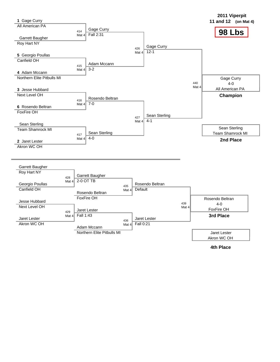

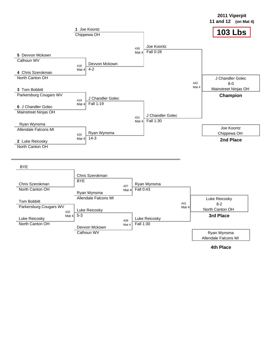



**2011 Viperpit**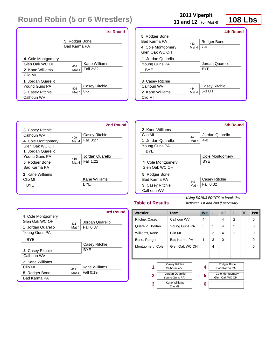|                                      | <b>1st Round</b> |  |  |  |  |
|--------------------------------------|------------------|--|--|--|--|
| 5 Rodger Bone<br><b>Bad Karma PA</b> |                  |  |  |  |  |
| 4 Cole Montgomery                    | Kane Williams    |  |  |  |  |
| Glen Oak WC OH                       | 404              |  |  |  |  |
| 2 Kane Williams                      | Fall 2:32        |  |  |  |  |
| Clio MI                              | Mat 4            |  |  |  |  |
| 1 Jordan Quarello                    | Casey Ritchie    |  |  |  |  |
| Young Guns PA                        | 405              |  |  |  |  |
| 3 Casey Ritchie                      | $8 - 5$          |  |  |  |  |
| Calhoun WV                           | Mat 4            |  |  |  |  |

**11 and 12 (on Mat 4)**

**2011 Viperpit**<br>and 12 (on Mat 4) **108 Lbs** 

|                        |       | 4th Round       |
|------------------------|-------|-----------------|
| 5 Rodger Bone          |       |                 |
| Bad Karma PA           | 433   | Rodger Bone     |
| 4 Cole Montgomery      | Mat 4 | $7-0$           |
| Glen Oak WC OH         |       |                 |
| 1 Jordan Quarello      |       |                 |
| Young Guns PA          |       | Jordan Quarello |
| <b>BYF</b>             |       | <b>BYF</b>      |
|                        |       |                 |
| <b>3</b> Casey Ritchie |       |                 |
| Calhoun WV             | 434   | Casey Ritchie   |
| 2 Kane Williams        | Mat 4 | 5-3 OT          |
| Clio MI                |       |                 |
|                        |       |                 |



|                        |       | 5th Round       |
|------------------------|-------|-----------------|
| 2 Kane Williams        |       |                 |
| Clio MI                | 446   | Jordan Quarello |
| 1 Jordan Quarello      | Mat 4 | 4-0             |
| Young Guns PA          |       |                 |
| BYF                    |       |                 |
|                        |       | Cole Montgomery |
| 4 Cole Montgomery      |       | <b>BYF</b>      |
| Glen Oak WC OH         |       |                 |
| 5 Rodger Bone          |       |                 |
| <b>Bad Karma PA</b>    | 447   | Casey Ritchie   |
| <b>3</b> Casey Ritchie | Mat 4 | Fall 0:32       |
| Calhoun WV             |       |                 |

### **Table of Results**

|                     |       | 3rd Round       |
|---------------------|-------|-----------------|
| 4 Cole Montgomery   |       |                 |
| Glen Oak WC OH      | 421   | Jordan Quarello |
| 1 Jordan Quarello   | Mat 4 | Fall 0:37       |
| Young Guns PA       |       |                 |
| <b>BYF</b>          |       |                 |
|                     |       | Casey Ritchie   |
| 3 Casey Ritchie     |       | <b>BYF</b>      |
| Calhoun WV          |       |                 |
| 2 Kane Williams     |       |                 |
| Clio MI             | 422   | Kane Williams   |
| 5 Rodger Bone       | Mat 4 | Fall 0:19       |
| <b>Bad Karma PA</b> |       |                 |

| Wrestler<br><b>Team</b>            |                 | W.                   | L | <b>BP</b>              | F              | TF          | Pen            |   |   |
|------------------------------------|-----------------|----------------------|---|------------------------|----------------|-------------|----------------|---|---|
| Ritchie, Casey                     |                 | Calhoun WV           |   | $\overline{4}$         |                | 4           | 2              |   | 0 |
| Quarello, Jordan                   |                 | Young Guns PA        |   | 3                      | 1              | 4           | $\mathfrak{p}$ |   | 0 |
| Williams, Kane                     |                 | Clio MI              |   | 2                      | 2              | 4           | 2              |   | 0 |
| Bone, Rodger                       |                 | Bad Karma PA         |   | 1                      | 3              | $\Omega$    |                |   | 0 |
| Glen Oak WC OH<br>Montgomery, Cole |                 |                      |   | 4                      |                |             |                | ∩ |   |
|                                    |                 |                      |   |                        |                |             |                |   |   |
|                                    |                 |                      |   |                        |                |             |                |   |   |
|                                    |                 | <b>Casey Ritchie</b> |   |                        |                | Rodger Bone |                |   |   |
|                                    | 1<br>Calhoun WV |                      | 4 |                        | Bad Karma PA   |             |                |   |   |
| Jordan Quarello<br>2               |                 | 5                    |   | <b>Cole Montgomery</b> |                |             |                |   |   |
|                                    | Young Guns PA   |                      |   |                        | Glen Oak WC OH |             |                |   |   |
| 3                                  |                 | <b>Kane Williams</b> |   | 6                      |                |             |                |   |   |
|                                    |                 | Clio MI              |   |                        |                |             |                |   |   |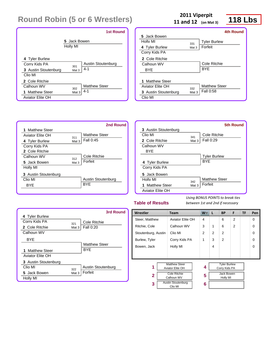|                                                                            |                          | <b>1st Round</b>                |
|----------------------------------------------------------------------------|--------------------------|---------------------------------|
|                                                                            | 5 Jack Bowen<br>Holly MI |                                 |
| 4 Tyler Burlew<br>Corry Kids PA<br><b>3</b> Austin Stoutenburg<br>Clio MI  | 301<br>Mat 3             | Austin Stoutenburg<br>$4 - 1$   |
| 2 Cole Ritchie<br>Calhoun WV<br>1 Matthew Steer<br><b>Aviator Elite OH</b> | 302<br>Mat <sub>3</sub>  | <b>Matthew Steer</b><br>$4 - 1$ |

**11 and 12 (on Mat 3)**

**2011 Viperpit**<br> **118 Lbs** 

|                      |       | 4th Round            |
|----------------------|-------|----------------------|
| 5 Jack Bowen         |       |                      |
| Holly MI             | 331   | <b>Tyler Burlew</b>  |
| 4 Tyler Burlew       | Mat 3 | Forfeit              |
| Corry Kids PA        |       |                      |
| 2 Cole Ritchie       |       |                      |
| Calhoun WV           |       | Cole Ritchie         |
| <b>BYF</b>           |       | <b>BYF</b>           |
|                      |       |                      |
| 1 Matthew Steer      |       |                      |
| Aviator Elite OH     | 332   | <b>Matthew Steer</b> |
| 3 Austin Stoutenburg | Mat 3 | Fall 0:58            |
| Clio MI              |       |                      |
|                      |       |                      |



|                             |       | 5th Round            |
|-----------------------------|-------|----------------------|
| <b>3</b> Austin Stoutenburg |       |                      |
| Clio MI                     | 341   | Cole Ritchie         |
| 2 Cole Ritchie              | Mat 3 | Fall 0:29            |
| Calhoun WV                  |       |                      |
| BYE                         |       |                      |
|                             |       | <b>Tyler Burlew</b>  |
| 4 Tyler Burlew              |       | <b>BYF</b>           |
| Corry Kids PA               |       |                      |
| 5 Jack Bowen                |       |                      |
| Holly MI                    | 342   | <b>Matthew Steer</b> |
| 1 Matthew Steer             | Mat 3 | Forfeit              |
| <b>Aviator Elite OH</b>     |       |                      |

### **Table of Results**

|                         |         | <b>3rd Round</b>     |
|-------------------------|---------|----------------------|
| 4 Tyler Burlew          |         |                      |
| Corry Kids PA           | 321     | Cole Ritchie         |
| 2 Cole Ritchie          | Mat $3$ | <b>Fall 0:20</b>     |
| Calhoun WV              |         |                      |
| <b>BYE</b>              |         |                      |
|                         |         | <b>Matthew Steer</b> |
| 1 Matthew Steer         |         | <b>BYF</b>           |
| <b>Aviator Elite OH</b> |         |                      |
| 3 Austin Stoutenburg    |         |                      |
| Clio MI                 | 322     | Austin Stoutenburg   |
| 5 Jack Bowen            | Mat 3   | Forfeit              |
| Holly MI                |         |                      |

| Wrestler<br><b>Team</b> |                      | $W^-$ | L | <b>BP</b>                            | F              | <b>TF</b> | Pen      |
|-------------------------|----------------------|-------|---|--------------------------------------|----------------|-----------|----------|
| Steer, Matthew          | Aviator Elite OH     | 4     |   | 6                                    | $\overline{2}$ |           | $\Omega$ |
| Ritchie, Cole           | Calhoun WV           | 3     | 1 | 6                                    | $\overline{2}$ |           | $\Omega$ |
| Stoutenburg, Austin     | Clio MI              | 2     | 2 | $\mathfrak{p}$                       |                |           | $\Omega$ |
| Burlew, Tyler           | Corry Kids PA        | 1     | 3 | 2                                    |                |           | $\Omega$ |
| Bowen, Jack             | Holly MI             |       | 4 |                                      |                |           | $\Omega$ |
|                         |                      |       |   |                                      |                |           |          |
|                         |                      |       |   |                                      |                |           |          |
| 1                       | <b>Matthew Steer</b> | 4     |   | <b>Tyler Burlew</b><br>Corry Kids PA |                |           |          |
| Aviator Elite OH        |                      |       |   |                                      |                |           |          |
| $\mathbf{2}$            | <b>Cole Ritchie</b>  | 5     |   | Jack Bowen                           |                |           |          |
| Calhoun WV              |                      |       |   | Holly MI                             |                |           |          |
| 3                       | Austin Stoutenburg   | 6     |   |                                      |                |           |          |
|                         | Clio MI              |       |   |                                      |                |           |          |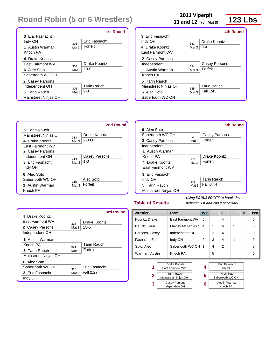|                         |       | <b>1st Round</b>   |
|-------------------------|-------|--------------------|
| <b>3</b> Eric Fasnacht  |       |                    |
| Indy OH                 | 303   | Eric Fasnacht      |
| 1 Austin Warman         | Mat 3 | Forfeit            |
| Knoch PA                |       |                    |
| 4 Drake Koontz          |       |                    |
| <b>Fast Fairmont WV</b> | 304   | Drake Koontz       |
| 6 Alec Soto             | Mat 3 | $13-0$             |
| Sabertooth WC OH        |       |                    |
| 2 Casey Parsons         |       |                    |
| Independent OH          | 305   | <b>Tarin Rauch</b> |
| 5 Tarin Rauch           | Mat 3 | $9 - 3$            |
| Mainstreet Ninjas OH    |       |                    |

**11 and 12 (on Mat 3)**

**123 Lbs 2011** Viperpit **123 Lbs** 

|                         |       | 4th Round          |
|-------------------------|-------|--------------------|
| <b>3</b> Eric Fasnacht  |       |                    |
| Indy OH                 | 333   | Drake Koontz       |
| 4 Drake Koontz          | Mat 3 | $9 - 4$            |
| <b>Fast Fairmont WV</b> |       |                    |
| 2 Casey Parsons         |       |                    |
| Independent OH          | 334   | Casey Parsons      |
| 1 Austin Warman         | Mat 3 | Forfeit            |
| Knoch PA                |       |                    |
| 5 Tarin Rauch           |       |                    |
| Mainstreet Ninias OH    | 335   | <b>Tarin Rauch</b> |
| 6 Alec Soto             | Mat 3 | Fall 1:45          |
| Sabertooth WC OH        |       |                    |



|                         |       | 5th Round          |
|-------------------------|-------|--------------------|
| 6 Alec Soto             |       |                    |
| Sabertooth WC OH        | 343   | Casey Parsons      |
| 2 Casey Parsons         | Mat 3 | Forfeit            |
| Independent OH          |       |                    |
| 1 Austin Warman         |       |                    |
| Knoch PA                | 344   | Drake Koontz       |
| 4 Drake Koontz          | Mat 3 | Forfeit            |
| <b>Fast Fairmont WV</b> |       |                    |
| 3 Fric Fasnacht         |       |                    |
| Indy OH                 | 345   | <b>Tarin Rauch</b> |
| 5 Tarin Rauch           | Mat 3 | Fall 0:44          |
| Mainstreet Ninjas OH    |       |                    |

### **Table of Results**

|                         |          | 3rd Round          |
|-------------------------|----------|--------------------|
| 4 Drake Koontz          |          |                    |
| <b>Fast Fairmont WV</b> | 323      | Drake Koontz       |
| 2 Casey Parsons         | Mat $31$ | $13 - 5$           |
| Independent OH          |          |                    |
| 1 Austin Warman         |          |                    |
| Knoch PA                | 324      | <b>Tarin Rauch</b> |
| 5 Tarin Rauch           | Mat 3    | Forfeit            |
| Mainstreet Ninjas OH    |          |                    |
| 6 Alec Soto             |          |                    |
| Sabertooth WC OH        | 325      | Eric Fasnacht      |
| <b>3</b> Eric Fasnacht  | Mat 3    | Fall 2:27          |
| Indy OH                 |          |                    |

| Wrestler       | Team                             |                      | $W^-$ | L | <b>BP</b>                       | F                    | <b>TF</b> | Pen |          |
|----------------|----------------------------------|----------------------|-------|---|---------------------------------|----------------------|-----------|-----|----------|
| Koontz, Drake  |                                  | East Fairmont WV     |       | 5 |                                 | $\overline{4}$       |           |     | 0        |
| Rauch, Tarin   |                                  | Mainstreet Ninjas C  |       | 4 | 1                               | 6                    | 2         |     | $\Omega$ |
| Parsons, Casey |                                  | Independent OH       |       | 3 | 2                               | 4                    |           |     | 0        |
| Fasnacht, Eric |                                  | Indy OH              |       | 2 | 3                               | $\overline{4}$       | 1         |     | $\Omega$ |
| Soto, Alec     |                                  | Sabertooth WC OH     |       | 1 | 4                               | 2                    |           |     | 0        |
| Warman, Austin |                                  | Knoch PA             |       |   | 5                               |                      |           |     | $\Omega$ |
|                |                                  |                      |       |   |                                 |                      |           |     |          |
| 1              | Drake Koontz<br>East Fairmont WV |                      | 4     |   | <b>Eric Fasnacht</b><br>Indy OH |                      |           |     |          |
|                |                                  | <b>Tarin Rauch</b>   |       |   |                                 | Alec Soto            |           |     |          |
| 2              |                                  | Mainstreet Ninjas OH |       | 5 |                                 | Sabertooth WC OH     |           |     |          |
| 3              |                                  | <b>Casey Parsons</b> |       | 6 |                                 | <b>Austin Warman</b> |           |     |          |
|                |                                  | Independent OH       |       |   |                                 | Knoch PA             |           |     |          |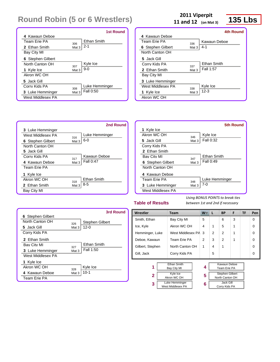|                   |                  | <b>1st Round</b> |
|-------------------|------------------|------------------|
| 4 Kawaun Deboe    |                  |                  |
| Team Frie PA      | 306              | Ethan Smith      |
| 2 Ethan Smith     | Mat 3            | $2 - 1$          |
| Bay City MI       |                  |                  |
| 6 Stephen Gilbert |                  |                  |
| North Canton OH   | 307              | Kyle Ice         |
| 1 Kyle Ice        | Mat <sub>3</sub> | $9-0$            |
| Akron WC OH       |                  |                  |
| 5 Jack Gill       |                  |                  |
| Corry Kids PA     | 308              | Luke Hemminger   |
| 3 Luke Hemminger  | Mat <sub>3</sub> | Fall 0:50        |
| West Middlesex PA |                  |                  |

**11 and 12 (on Mat 3)**

**2011 Viperpit**<br> **135 Lbs** 

|                   |       | <b>4th Round</b> |
|-------------------|-------|------------------|
| 4 Kawaun Deboe    |       |                  |
| Team Frie PA      | 336   | Kawaun Deboe     |
| 6 Stephen Gilbert | Mat 3 | 4-1              |
| North Canton OH   |       |                  |
| 5 Jack Gill       |       |                  |
| Corry Kids PA     | 337   | Ethan Smith      |
| 2 Ethan Smith     | Mat 3 | Fall 1:57        |
| Bay City MI       |       |                  |
| 3 Luke Hemminger  |       |                  |
| West Middlesex PA | 338   | Kyle Ice         |
| 1 Kyle Ice        | Mat 3 | $12 - 3$         |
| Akron WC OH       |       |                  |



|                    |       | 5th Round      |
|--------------------|-------|----------------|
| 1 Kyle Ice         |       |                |
| Akron WC OH        | 346   | Kyle Ice       |
| 5 Jack Gill        | Mat 3 | Fall 0:32      |
| Corry Kids PA      |       |                |
| 2 Fthan Smith      |       |                |
| <b>Bay City MI</b> | 347   | Ethan Smith    |
| 6 Stephen Gilbert  | Mat 3 | Fall 0:49      |
| North Canton OH    |       |                |
| 4 Kawaun Deboe     |       |                |
| Team Frie PA       | 348   | Luke Hemminger |
| 3 Luke Hemminger   | Mat 3 | 7-0            |
| West Middlesex PA  |       |                |

### **Table of Results**

|                   |         | 3rd Round              |
|-------------------|---------|------------------------|
| 6 Stephen Gilbert |         |                        |
| North Canton OH   | 326     | <b>Stephen Gilbert</b> |
| 5 Jack Gill       | Mat $3$ | $12 - 0$               |
| Corry Kids PA     |         |                        |
| 2 Ethan Smith     |         |                        |
| Bay City MI       | 327     | Ethan Smith            |
| 3 Luke Hemminger  | Mat 3   | Fall 1:50              |
| West Middlesex PA |         |                        |
| 1 Kyle Ice        |         |                        |
| Akron WC OH       | 328     | Kyle Ice               |
| 4 Kawaun Deboe    | Mat 3   | $10 - 1$               |
| Team Erie PA      |         |                        |

| Wrestler                        |                                     | Team               |   | W                      | L              | <b>BP</b>       | F        | TF       | Pen      |
|---------------------------------|-------------------------------------|--------------------|---|------------------------|----------------|-----------------|----------|----------|----------|
| Smith, Ethan                    |                                     | Bay City MI        |   | 5                      |                | 6               | 3        |          | $\Omega$ |
| Ice, Kyle                       |                                     | Akron WC OH        |   | 4                      | 1              | 5               | 1        |          | $\Omega$ |
| Hemminger, Luke                 |                                     | West Middlesex PA  |   | 3                      | $\mathfrak{p}$ | $\mathfrak{p}$  | 1        |          | $\Omega$ |
| Team Erie PA<br>Deboe, Kawaun   |                                     | 2                  | 3 | $\mathfrak{p}$         | 1              |                 | $\Omega$ |          |          |
|                                 | North Canton OH<br>Gilbert, Stephen |                    | 1 | 4                      | 1              |                 |          | $\Omega$ |          |
| Gill, Jack                      |                                     | Corry Kids PA      |   |                        | 5              |                 |          |          | $\Omega$ |
|                                 |                                     |                    |   |                        |                |                 |          |          |          |
|                                 |                                     | <b>Ethan Smith</b> |   |                        |                | Kawaun Deboe    |          |          |          |
|                                 | 1<br>Bay City MI                    |                    | 4 |                        | Team Erie PA   |                 |          |          |          |
| <b>Kyle Ice</b><br>$\mathbf{2}$ |                                     | 5                  |   | <b>Stephen Gilbert</b> |                |                 |          |          |          |
|                                 |                                     | Akron WC OH        |   |                        |                | North Canton OH |          |          |          |
| Luke Hemminger<br>3             |                                     | 6                  |   | Jack Gill              |                |                 |          |          |          |
|                                 |                                     | West Middlesex PA  |   |                        |                | Corry Kids PA   |          |          |          |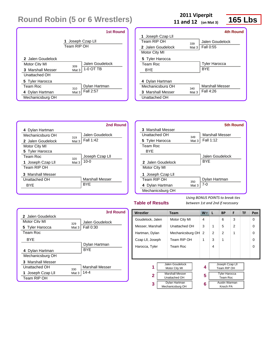|                                                                                             | <b>1st Round</b>                             |
|---------------------------------------------------------------------------------------------|----------------------------------------------|
|                                                                                             | 1 Joseph Czap Lll<br>Team RIP OH             |
| 2 Jalen Goudelock<br>Motor City MI<br>3 Marshall Messer<br>Unattached OH<br>5 Tyler Harocca | Jalen Goudelock<br>309<br>1-0 OT TB<br>Mat 3 |
| Team Roc<br>4 Dylan Hartman<br>Mechanicsburg OH                                             | Dylan Hartman<br>310<br>Fall 2:57<br>Mat 3   |

**11 and 12 (on Mat 3)**

**2011 Viperpit**<br> **165 Lbs 2** (on Mat 3)

|                          |       | <b>4th Round</b>       |
|--------------------------|-------|------------------------|
| 1 Joseph Czap Lll        |       |                        |
| Team RIP OH              | 339   | Jalen Goudelock        |
| 2 Jalen Goudelock        | Mat 3 | Fall 0:55              |
| Motor City MI            |       |                        |
| 5 Tyler Harocca          |       |                        |
| Team Roc                 |       | <b>Tyler Harocca</b>   |
| <b>BYF</b>               |       | <b>BYF</b>             |
|                          |       |                        |
| 4 Dylan Hartman          |       |                        |
| Mechanicsburg OH         | 340   | <b>Marshall Messer</b> |
| <b>3</b> Marshall Messer | Mat 3 | Fall 4:26              |
| Unattached OH            |       |                        |
|                          |       |                        |

|                   |       | 2nd Round              |                   |
|-------------------|-------|------------------------|-------------------|
| 4 Dylan Hartman   |       |                        | 3 Marshall Messer |
| Mechanicsburg OH  | 319   | Jalen Goudelock        | Unattached OH     |
| 2 Jalen Goudelock | Mat 3 | Fall 1:42              | 5 Tyler Harocca   |
| Motor City MI     |       |                        | Team Roc          |
| 5 Tyler Harocca   |       |                        | <b>BYE</b>        |
| Team Roc          | 320   | Joseph Czap Lll        |                   |
| 1 Joseph Czap Lll | Mat 3 | $10 - 0$               | 2 Jalen Goudelock |
| Team RIP OH       |       |                        | Motor City MI     |
| 3 Marshall Messer |       |                        | 1 Joseph Czap Lll |
| Unattached OH     |       | <b>Marshall Messer</b> | Team RIP OH       |
| <b>BYE</b>        |       | <b>BYF</b>             | 4 Dylan Hartman   |
|                   |       |                        | Mechanicsburg OH  |

### Unattached OH  $_{349}$ **5** Tyler Harocca Mat 3 Fall 1:12 Team RIP OH  $_{350}$ **4** Dylan Hartman Mat 3 7-0 Marshall Messer Jalen Goudelock **BYE** Dylan Hartman **5th Round**

### **Table of Results**

|                   |          | 3rd Round              |
|-------------------|----------|------------------------|
| 2 Jalen Goudelock |          |                        |
| Motor City MI     | 329      | Jalen Goudelock        |
| 5 Tyler Harocca   | Mat $31$ | <b>Fall 0:30</b>       |
| Team Roc          |          |                        |
| BYF               |          |                        |
|                   |          | Dylan Hartman          |
| 4 Dylan Hartman   |          | <b>BYF</b>             |
| Mechanicsburg OH  |          |                        |
| 3 Marshall Messer |          |                        |
| Unattached OH     | 330      | <b>Marshall Messer</b> |
| 1 Joseph Czap Lll | Mat 3    | 14-4                   |
| Team RIP OH       |          |                        |

| Wrestler<br><b>Team</b>                |                                                    | L                         | <b>BP</b> | F              | TF                                                                                                     | Pen      |
|----------------------------------------|----------------------------------------------------|---------------------------|-----------|----------------|--------------------------------------------------------------------------------------------------------|----------|
| Motor City MI                          | 4                                                  |                           | 6         | 3              |                                                                                                        | $\Omega$ |
| Unattached OH                          | 3                                                  | 1                         | 5         | $\overline{2}$ |                                                                                                        | $\Omega$ |
| Mechanicsburg OH<br>Hartman, Dylan     |                                                    | 2                         | 2         | 1              |                                                                                                        | $\Omega$ |
| Team RIP OH<br>Czap LII, Joseph        |                                                    | 3                         | 1         |                |                                                                                                        | $\Omega$ |
| Team Roc<br>Harocca, Tyler             |                                                    | 4                         |           |                |                                                                                                        | $\Omega$ |
|                                        |                                                    |                           |           |                |                                                                                                        |          |
|                                        |                                                    |                           |           |                |                                                                                                        |          |
| Jalen Goudelock                        |                                                    |                           |           |                |                                                                                                        |          |
| 1                                      |                                                    |                           |           |                |                                                                                                        |          |
| <b>Marshall Messer</b><br>$\mathbf{2}$ |                                                    |                           |           |                |                                                                                                        |          |
|                                        |                                                    |                           |           |                |                                                                                                        |          |
| Dylan Hartman                          | 6                                                  |                           |           |                |                                                                                                        |          |
|                                        |                                                    |                           |           |                |                                                                                                        |          |
|                                        | Motor City MI<br>Unattached OH<br>Mechanicsburg OH | $W^-$<br>2<br>1<br>4<br>5 |           |                | Joseph Czap Lll<br>Team RIP OH<br><b>Tyler Harocca</b><br>Team Roc<br><b>Austin Warman</b><br>Knoch PA |          |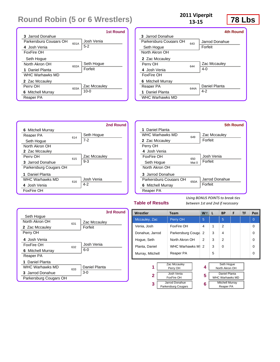|                          |      | 1st Round    |
|--------------------------|------|--------------|
| 3 Jarrod Donahue         |      |              |
| Parkersburg Cougars OH   | 601A | Josh Venia   |
| 4 Josh Venia             |      | $5-2$        |
| FoxFire OH               |      |              |
| Seth Hogue               |      |              |
| North Akron OH           | 602A | Seth Hogue   |
| 1 Daniel Planta          |      | Forfeit      |
| WHC Warhawks MD          |      |              |
| 2 Zac Mccauley           |      |              |
| Perry OH                 | 603A | Zac Mccauley |
| <b>6</b> Mitchell Murray |      | $10 - 0$     |
| Reaper PA                |      |              |

### **78 Lbs <sup>2011</sup> Viperpit 13‐15**

|                          |      | <b>4th Round</b> |
|--------------------------|------|------------------|
| 3 Jarrod Donahue         |      |                  |
| Parkersburg Cougars OH   | 643  | Jarrod Donahue   |
| Seth Hogue               |      | Forfeit          |
| North Akron OH           |      |                  |
| 2 Zac Mccauley           |      |                  |
| Perry OH                 | 644  | Zac Mccauley     |
| 4 Josh Venia             |      | $4 - 0$          |
| FoxFire OH               |      |                  |
| <b>6</b> Mitchell Murray |      |                  |
| Reaper PA                | 644A | Daniel Planta    |
| 1 Daniel Planta          |      | $4 - 2$          |
| <b>WHC Warhawks MD</b>   |      |                  |





### **Table of Results**

|                          |     | 3rd Round     |
|--------------------------|-----|---------------|
| Seth Hoque               |     |               |
| North Akron OH           | 631 | Zac Mccauley  |
| 2 Zac Mccauley           |     | Forfeit       |
| Perry OH                 |     |               |
| 4 Josh Venia             |     |               |
| FoxFire OH               | 632 | Josh Venia    |
| <b>6</b> Mitchell Murray |     | $6-0$         |
| Reaper PA                |     |               |
| 1 Daniel Planta          |     |               |
| <b>WHC Warhawks MD</b>   | 633 | Daniel Planta |
| 3 Jarrod Donahue         |     | $3-0$         |
| Parkersburg Cougars OH   |     |               |

| Wrestler<br>Team    |                                              | L                                                     | <b>BP</b>      | F | TF                                                                               | Pen            |
|---------------------|----------------------------------------------|-------------------------------------------------------|----------------|---|----------------------------------------------------------------------------------|----------------|
| Perry OH            | 5                                            |                                                       | 5              |   |                                                                                  | $\overline{0}$ |
| <b>FoxFire OH</b>   | 4                                            | 1                                                     | $\overline{2}$ |   |                                                                                  | $\Omega$       |
|                     | 2                                            | 3                                                     | 4              |   |                                                                                  | $\Omega$       |
| North Akron OH      | 2                                            | 3                                                     | 2              |   |                                                                                  | $\Omega$       |
|                     | 2                                            | 3                                                     | $\Omega$       |   |                                                                                  | $\Omega$       |
| Reaper PA           |                                              | 5                                                     |                |   |                                                                                  | $\Omega$       |
|                     |                                              |                                                       |                |   |                                                                                  |                |
| Perry OH            | 4                                            |                                                       |                |   |                                                                                  |                |
| Josh Venia          |                                              | Daniel Planta                                         |                |   |                                                                                  |                |
|                     |                                              |                                                       |                |   |                                                                                  |                |
| Parkersburg Cougars | 6                                            |                                                       |                |   |                                                                                  |                |
|                     | Zac Mccauley<br>FoxFire OH<br>Jarrod Donahue | <b>W</b><br>Parkersburg Couga<br>WHC Warhawks MI<br>5 |                |   | Seth Hoque<br>North Akron OH<br><b>WHC Warhawks MD</b><br><b>Mitchell Murray</b> | Reaper PA      |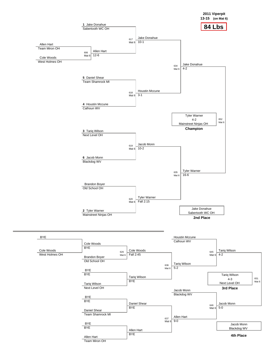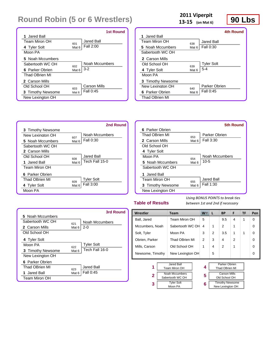|                       |                  | 1st Round      |
|-----------------------|------------------|----------------|
| 1 Jared Ball          |                  |                |
| <b>Team Miron OH</b>  | 601              | Jared Ball     |
| 4 Tyler Solt          | Mat <sub>6</sub> | Fall 2:00      |
| Moon PA               |                  |                |
| 5 Noah Mccumbers      |                  |                |
| Sabertooth WC OH      | 602              | Noah Mccumbers |
| 6 Parker Obrien       | Mat <sub>6</sub> | $3-2$          |
| <b>Thad OBrien MI</b> |                  |                |
| 2 Carson Mills        |                  |                |
| Old School OH         | 603              | Carson Mills   |
| 3 Timothy Newsome     | Mat <sub>6</sub> | Fall 0:45      |
| New Lexington OH      |                  |                |

# **2011 Viperpit**<br>**13-15** (on Mat 6) **90 Lbs**

**13‐15 (on Mat 6)**

|                   |       | 4th Round         |
|-------------------|-------|-------------------|
| 1. Jared Ball     |       |                   |
| Team Miron OH     | 638   | Jared Ball        |
| 5 Noah Mccumbers  | Mat 6 | Fall 0:30         |
| Sabertooth WC OH  |       |                   |
| 2 Carson Mills    |       |                   |
| Old School OH     | 639   | <b>Tyler Solt</b> |
| 4 Tyler Solt      | Mat 6 | $5 - 4$           |
| Moon PA           |       |                   |
| 3 Timothy Newsome |       |                   |
| New Lexington OH  | 640   | Parker Obrien     |
| 6 Parker Obrien   | Mat 6 | Fall 0:45         |
| Thad OBrien MI    |       |                   |

|                   |          | 2nd Round         |                   |       | <b>5th Round</b> |
|-------------------|----------|-------------------|-------------------|-------|------------------|
| 3 Timothy Newsome |          |                   | 6 Parker Obrien   |       |                  |
| New Lexington OH  | 607      | Noah Mccumbers    | Thad OBrien MI    | 653   | Parker Obrien    |
| 5 Noah Mccumbers  | Mat 6    | Fall 0:30         | 2 Carson Mills    | Mat 6 | Fall 3:30        |
| Sabertooth WC OH  |          |                   | Old School OH     |       |                  |
| 2 Carson Mills    |          |                   | 4 Tyler Solt      |       |                  |
| Old School OH     | 608      | Jared Ball        | Moon PA           | 654   | Noah Mccumbers   |
| 1 Jared Ball      | Mat 6    | Tech Fall 15-0    | 5 Noah Mccumbers  | Mat 6 | $10-5$           |
| Team Miron OH     |          |                   | Sabertooth WC OH  |       |                  |
| 6 Parker Obrien   |          |                   | Jared Ball        |       |                  |
| Thad OBrien MI    | 609      | <b>Tyler Solt</b> | Team Miron OH     | 655   | Jared Ball       |
| 4 Tyler Solt      | Mat $61$ | Fall 3:00         | 3 Timothy Newsome | Mat 6 | Fall 1:30        |
| Moon PA           |          |                   | New Lexington OH  |       |                  |
|                   |          |                   |                   |       |                  |

### **Table of Results**

**3**

*Using BONUS POINTS to break ties between 1st and 2nd if necessary*

> Timothy Newsome New Lexington OH

|                   |                  | 3rd Round         |
|-------------------|------------------|-------------------|
| 5 Noah Mccumbers  |                  |                   |
| Sabertooth WC OH  | 621              | Noah Mccumbers    |
| 2 Carson Mills    | Mat 6            | $2 - 0$           |
| Old School OH     |                  |                   |
| 4 Tyler Solt      |                  |                   |
| Moon PA           | 622              | <b>Tyler Solt</b> |
| 3 Timothy Newsome | Mat 6            | Tech Fall 16-0    |
| New Lexington OH  |                  |                   |
| 6 Parker Obrien   |                  |                   |
| Thad OBrien MI    | 623              | <b>Jared Ball</b> |
| 1 Jared Ball      | Mat <sub>6</sub> | Fall 0:45         |
| Team Miron OH     |                  |                   |

| Wrestler         | Team                               | W. | L | BP                                   | F | TF | Pen |
|------------------|------------------------------------|----|---|--------------------------------------|---|----|-----|
| Ball, Jared      | Team Miron OH                      | 5  |   | 9.5                                  | 4 | 1  | 0   |
| Mccumbers, Noah  | Sabertooth WC OH                   | 4  | 1 | 2                                    | 1 |    | 0   |
| Solt, Tyler      | Moon PA                            | 3  | 2 | 3.5                                  | 1 | 1  | 0   |
| Obrien, Parker   | Thad OBrien MI                     | 2  | 3 | 4                                    | 2 |    | 0   |
| Mills, Carson    | Old School OH                      | 1  | 4 | $\mathcal{P}$                        | 1 |    | 0   |
| Newsome, Timothy | New Lexington OH                   |    | 5 |                                      |   |    | 0   |
|                  |                                    |    |   |                                      |   |    |     |
| 1                | Jared Ball<br>Team Miron OH        |    |   | Parker Obrien<br>Thad OBrien MI      |   |    |     |
| 2                | Noah Mccumbers<br>Sabertooth WC OH | 5  |   | <b>Carson Mills</b><br>Old School OH |   |    |     |

**6**

 Tyler Solt Moon PA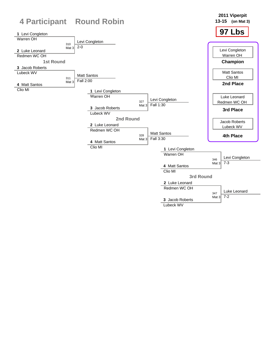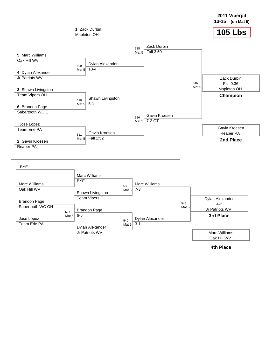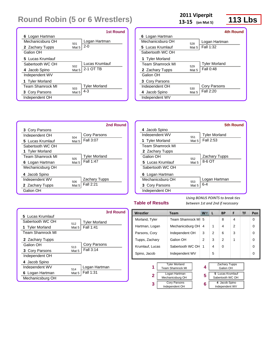|                         |                  | <b>1st Round</b>     |
|-------------------------|------------------|----------------------|
| 6 Logan Hartman         |                  |                      |
| Mechanicsburg OH        | 501              | Logan Hartman        |
| 2 Zachary Tupps         | Mat <sub>5</sub> | $2 - 0$              |
| Galion OH               |                  |                      |
| 5 Lucas Krumlauf        |                  |                      |
| Sabertooth WC OH        | 502              | Lucas Krumlauf       |
| 4 Jacob Spino           | Mat <sub>5</sub> | 2-1 OT TB            |
| Independent WV          |                  |                      |
| 1 Tyler Morland         |                  |                      |
| <b>Team Shamrock MI</b> | 503              | <b>Tyler Morland</b> |
| <b>3 Cory Parsons</b>   | Mat 5            | $4 - 3$              |
| Independent OH          |                  |                      |

**3** Cory Parsons

**5** Lucas Krumlauf Sabertooth WC OH

**1** Tyler Morland

**6** Logan Hartman Mechanicsburg OH **4** Jacob Spino

**2** Zachary Tupps Galion OH

Independent OH 504

Team Shamrock MI 505

Independent WV 506

|                         | 2011 Viperpit<br>13-15 (on Mat 5) |                      | <b>113 Lbs</b> |  |
|-------------------------|-----------------------------------|----------------------|----------------|--|
|                         |                                   |                      | 4th Round      |  |
| 6 Logan Hartman         |                                   |                      |                |  |
| Mechanicsburg OH        | 528                               | Logan Hartman        |                |  |
| 5 Lucas Krumlauf        | Mat 5                             | Fall 1:32            |                |  |
| Sabertooth WC OH        |                                   |                      |                |  |
| 1 Tyler Morland         |                                   |                      |                |  |
| <b>Team Shamrock MI</b> | 529                               | <b>Tyler Morland</b> |                |  |
| <b>2</b> Zachary Tupps  | Mat 5                             | Fall 0:48            |                |  |
| Galion OH               |                                   |                      |                |  |
| 3 Cory Parsons          |                                   |                      |                |  |
| Independent OH          | 530                               | Cory Parsons         |                |  |
| 4 Jacob Spino           | Mat 5                             | Fall 2:20            |                |  |

| 2nd Round                                         |                                                                                       |              | <b>5th Round</b>                  |
|---------------------------------------------------|---------------------------------------------------------------------------------------|--------------|-----------------------------------|
| Cory Parsons<br>504<br>Fall 3:07<br>Mat 5         | Jacob Spino<br>4<br>Independent WV<br><b>Tyler Morland</b><br><b>Team Shamrock ML</b> | 551<br>Mat 5 | <b>Tyler Morland</b><br>Fall 2:53 |
| <b>Tyler Morland</b><br>505<br>Fall 1:47<br>Mat 5 | 2 Zachary Tupps<br>Galion OH<br>5 Lucas Krumlauf<br>Sabertooth WC OH                  | 552<br>Mat 5 | <b>Zachary Tupps</b><br>8-6 OT    |
| <b>Zachary Tupps</b><br>506<br>Fall 2:21<br>Mat 5 | 6 Logan Hartman<br>Mechanicsburg OH<br>3 Cory Parsons<br>Independent OH               | 553<br>Mat 5 | Logan Hartman<br>$6 - 4$          |

4 Jacob Spino Independent WV

#### **Table of Results**

*Using BONUS POINTS to break ties between 1st and 2nd if necessary*

|                         |          | 3rd Round            |
|-------------------------|----------|----------------------|
| 5 Lucas Krumlauf        |          |                      |
| Sabertooth WC OH        | 512      | <b>Tyler Morland</b> |
| 1 Tyler Morland         | Mat $52$ | Fall 1:41            |
| <b>Team Shamrock MI</b> |          |                      |
| <b>2</b> Zachary Tupps  |          |                      |
| Galion OH               | 513      | Cory Parsons         |
| <b>3 Cory Parsons</b>   | Mat 5    | Fall 3:14            |
| Independent OH          |          |                      |
| 4 Jacob Spino           |          |                      |
| Independent WV          | 514      | Logan Hartman        |
| 6 Logan Hartman         | Mat 5    | Fall 1:31            |
| Mechanicsburg OH        |          |                      |

| בווטכסוו וט סועוס<br>between ist and zha ij helessary |                                   |                                       |   |   |          |                                      |                |           |          |
|-------------------------------------------------------|-----------------------------------|---------------------------------------|---|---|----------|--------------------------------------|----------------|-----------|----------|
| Wrestler                                              |                                   | <b>Team</b>                           |   | W | L        | <b>BP</b>                            | F              | <b>TF</b> | Pen      |
| Morland, Tyler                                        |                                   | Team Shamrock MI                      |   | 5 |          | 8                                    | 4              |           | $\Omega$ |
| Hartman, Logan                                        |                                   | Mechanicsburg OH                      |   | 4 | 1        | 4                                    | $\overline{2}$ |           | $\Omega$ |
| Parsons, Cory                                         |                                   | Independent OH                        |   | 3 | 2        | 6                                    | 3              |           | $\Omega$ |
| Tupps, Zachary                                        |                                   | Galion OH                             |   | 2 | 3        | $\overline{2}$                       | 1              |           | $\Omega$ |
| Sabertooth WC OH<br>Krumlauf, Lucas                   |                                   |                                       | 1 | 4 | $\Omega$ |                                      |                | $\Omega$  |          |
| Spino, Jacob<br>Independent WV                        |                                   |                                       |   | 5 |          |                                      |                | $\Omega$  |          |
| <b>Tyler Morland</b><br>1<br><b>Team Shamrock MI</b>  |                                   |                                       |   | 4 |          | <b>Zachary Tupps</b><br>Galion OH    |                |           |          |
| $\mathbf{2}$                                          | Logan Hartman<br>Mechanicsburg OH |                                       |   | 5 |          | 5 Lucas Krumlauf<br>Sabertooth WC OH |                |           |          |
| 3                                                     |                                   | <b>Cory Parsons</b><br>Independent OH |   | 6 |          | 4 Jacob Spino<br>Independent WV      |                |           |          |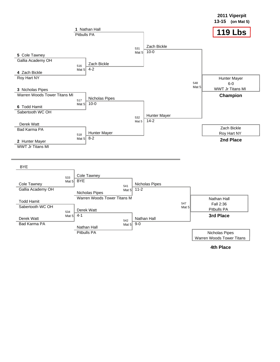

**4th Place**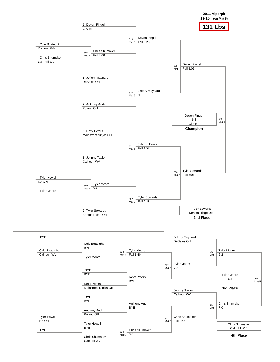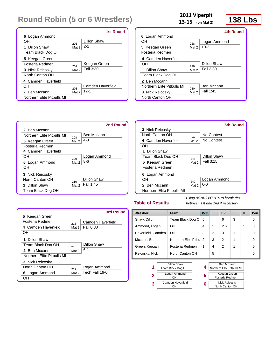|                            |       | 1st Round         |
|----------------------------|-------|-------------------|
| 6 Logan Ammond             |       |                   |
| OН                         | 201   | Dillon Shaw       |
| 1 Dillon Shaw              | Mat 2 | $2 - 1$           |
| Team Black Dog OH          |       |                   |
| 5 Keegan Green             |       |                   |
| Fosteria Redmen            | 202   | Keegan Green      |
| 3 Nick Reicosky            | Mat 2 | Fall 3:30         |
| North Canton OH            |       |                   |
| 4 Camden Haverfield        |       |                   |
| OН                         | 203   | Camden Haverfield |
| 2 Ben Mccann               | Mat 2 | $12-1$            |
| Northern Elite Pitbulls MI |       |                   |

**13‐15 (on Mat 2)**

# **13-15** (on Mat 2) **138 Lbs**

|                            |       | 4th Round    |
|----------------------------|-------|--------------|
| 6 Logan Ammond             |       |              |
| OН                         | 228   | Logan Ammond |
| 5 Keegan Green             | Mat 2 | $10 - 2$     |
| Fosteria Redmen            |       |              |
| 4 Camden Haverfield        |       |              |
| OН                         | 229   | Dillon Shaw  |
| Dillon Shaw<br>1.          | Mat 2 | Fall 3:30    |
| Team Black Dog OH          |       |              |
| 2 Ben Mccann               |       |              |
| Northern Flite Pitbulls MI | 230   | Ben Mccann   |
| 3 Nick Reicosky            | Mat 2 | Fall 1:45    |
| North Canton OH            |       |              |





### **Table of Results**

*Using BONUS POINTS to break ties between 1st and 2nd if necessary*

|                            |       | 3rd Round         |
|----------------------------|-------|-------------------|
| 5 Keegan Green             |       |                   |
| Fosteria Redmen            | 215   | Camden Haverfield |
| 4 Camden Haverfield        | Mat 2 | <b>Fall 0:30</b>  |
| OН                         |       |                   |
| <b>1</b> Dillon Shaw       |       |                   |
| Team Black Dog OH          | 216   | Dillon Shaw       |
| 2 Ben Mccann               | Mat 2 | $6 - 1$           |
| Northern Flite Pitbulls MI |       |                   |
| 3 Nick Reicosky            |       |                   |
| North Canton OH            | 217   | Logan Ammond      |
| 6 Logan Ammond             | Mat 2 | Tech Fall 16-0    |
| OН                         |       |                   |

| Wrestler           | <b>Team</b>            | W. | L | <b>BP</b>     | F | <b>TF</b> | Pen      |
|--------------------|------------------------|----|---|---------------|---|-----------|----------|
| Shaw, Dillon       | Team Black Dog Ol 5    |    |   | 6             | 3 |           | 0        |
| Ammond, Logan      | <b>OH</b>              | 4  | 1 | 2.5           |   | 1         | $\Omega$ |
| Haverfield, Camden | <b>OH</b>              | 3  | 2 | 3             | 1 |           | $\Omega$ |
| Mccann, Ben        | Northern Elite Pitbu 2 |    | 3 | $\mathcal{P}$ | 1 |           | $\Omega$ |
| Green, Keegan      | Fosteria Redmen        | 1  | 4 | $\mathcal{P}$ | 1 |           | $\Omega$ |
| Reicosky, Nick     | North Canton OH        |    | 5 |               |   |           | $\Omega$ |
|                    | __                     |    |   |               |   |           |          |

**4 5 6**

| 1              | Dillon Shaw<br>Team Black Dog OH |  |  |  |  |  |
|----------------|----------------------------------|--|--|--|--|--|
| $\overline{2}$ | Logan Ammond<br>nн               |  |  |  |  |  |
| 3              | Camden Haverfield                |  |  |  |  |  |

| Ben Mccann                 |
|----------------------------|
| Northern Elite Pitbulls MI |
|                            |
| Keegan Green               |
|                            |
| Fosteria Redmen            |

| Nick Reicosky   |
|-----------------|
| North Canton OH |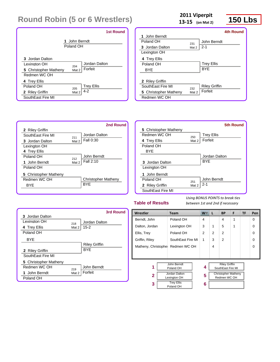|                                                                          | <b>1st Round</b>                         |
|--------------------------------------------------------------------------|------------------------------------------|
|                                                                          | 1 John Berndt<br>Poland OH               |
| 3 Jordan Dalton<br>Lexinaton OH<br>5 Christopher Matheny<br>Redmen WC OH | Jordan Dalton<br>204<br>Forfeit<br>Mat 2 |
| 4 Trey Ellis<br>Poland OH                                                | <b>Trey Ellis</b><br>205<br>$4 - 2$      |
| 2 Riley Griffin<br>SouthEast Fire MI                                     | Mat 2                                    |

**13‐15 (on Mat 2)**

# **13-15** (on Mat 2) **150 Lbs**

|                              |       |                      | 4th Round |
|------------------------------|-------|----------------------|-----------|
| 1 John Berndt                |       |                      |           |
| Poland OH                    | 231   | John Berndt          |           |
| <b>3</b> Jordan Dalton       | Mat 2 | $2 - 1$              |           |
| Lexington OH                 |       |                      |           |
| 4 Trey Ellis                 |       |                      |           |
| Poland OH                    |       | <b>Trey Ellis</b>    |           |
| BYE                          |       | <b>BYF</b>           |           |
|                              |       |                      |           |
| 2 Riley Griffin              |       |                      |           |
| SouthFast Fire MI            | 232   | <b>Riley Griffin</b> |           |
| <b>5</b> Christopher Matheny | Mat 2 | Forfeit              |           |
| Redmen WC OH                 |       |                      |           |
|                              |       |                      |           |



|                        |       | <b>5th Round</b>  |
|------------------------|-------|-------------------|
| 5 Christopher Matheny  |       |                   |
| Redmen WC OH           | 250   | <b>Trey Ellis</b> |
| 4 Trey Ellis           | Mat 2 | Forfeit           |
| Poland OH              |       |                   |
| <b>BYE</b>             |       |                   |
|                        |       | Jordan Dalton     |
| <b>3</b> Jordan Dalton |       | <b>BYF</b>        |
| Lexington OH           |       |                   |
| 1 John Berndt          |       |                   |
| Poland OH              | 251   | John Berndt       |
| 2 Riley Griffin        | Mat 2 | $2 - 1$           |
| SouthEast Fire MI      |       |                   |

### **Table of Results**

|                       |       | 3rd Round            |
|-----------------------|-------|----------------------|
| 3 Jordan Dalton       |       |                      |
| I exinaton OH         | 218   | Jordan Dalton        |
| 4 Trey Ellis          | Mat 2 | $15 - 2$             |
| Poland OH             |       |                      |
| <b>BYF</b>            |       |                      |
|                       |       | <b>Riley Griffin</b> |
| 2 Riley Griffin       |       | <b>BYF</b>           |
| SouthFast Fire MI     |       |                      |
| 5 Christopher Matheny |       |                      |
| Redmen WC OH          | 219   | John Berndt          |
| 1 John Berndt         | Mat 2 | Forfeit              |
| Poland OH             |       |                      |

| Wrestler                                      | <b>Team</b>                         | <b>W</b>       | L | <b>BP</b>                                  | F | TF | Pen      |
|-----------------------------------------------|-------------------------------------|----------------|---|--------------------------------------------|---|----|----------|
| Berndt, John                                  | Poland OH                           | $\overline{4}$ |   | 4                                          | 1 |    | $\Omega$ |
| Dalton, Jordan                                | Lexington OH                        | 3              | 1 | 5                                          | 1 |    | $\Omega$ |
| Ellis, Trey                                   | Poland OH                           | 2              | 2 | $\mathfrak{p}$                             |   |    | $\Omega$ |
| Griffin, Riley                                | SouthEast Fire MI                   | 1              | 3 | $\mathfrak{p}$                             |   |    | $\Omega$ |
|                                               | Matheny, Christophe<br>Redmen WC OH |                | 4 |                                            |   |    | $\Omega$ |
|                                               |                                     |                |   |                                            |   |    |          |
|                                               |                                     |                |   |                                            |   |    |          |
| John Berndt<br>1<br>Poland OH                 |                                     | 4              |   | <b>Riley Griffin</b><br>SouthEast Fire MI  |   |    |          |
| Jordan Dalton<br>$\mathbf{2}$<br>Lexington OH |                                     | 5              |   | <b>Christopher Matheny</b><br>Redmen WC OH |   |    |          |
| <b>Trey Ellis</b><br>3<br>Poland OH           |                                     | 6              |   |                                            |   |    |          |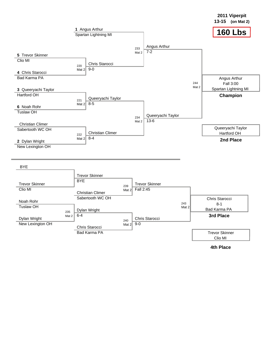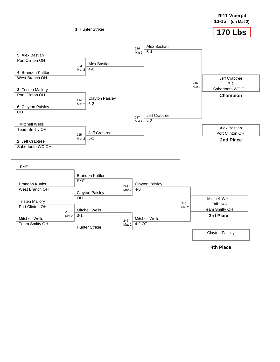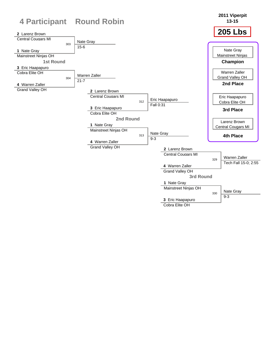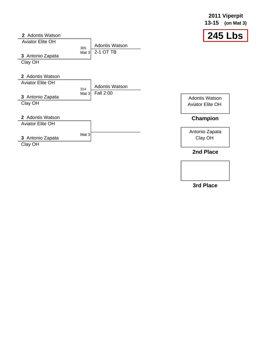|                                             |                |                                    | $13 - 15$<br>(on Mat $3)$                        |
|---------------------------------------------|----------------|------------------------------------|--------------------------------------------------|
| 2 Adontis Watson<br><b>Aviator Elite OH</b> |                |                                    | <b>245 Lbs</b>                                   |
| 3 Antonio Zapata<br>Clay OH                 | 305<br>Mat $3$ | <b>Adontis Watson</b><br>2-1 OT TB |                                                  |
| 2 Adontis Watson<br><b>Aviator Elite OH</b> | 314            | <b>Adontis Watson</b>              |                                                  |
| 3 Antonio Zapata<br>Clay OH                 | Mat 3          | Fall 2:00                          | <b>Adontis Watson</b><br><b>Aviator Elite OH</b> |
| 2 Adontis Watson<br><b>Aviator Elite OH</b> |                |                                    | Champion                                         |
| 3 Antonio Zapata<br>Clay OH                 | Mat $3$        |                                    | Antonio Zapata<br>Clay OH                        |
|                                             |                |                                    | 2nd Place                                        |

**3rd Place**

**2011 Viperpit**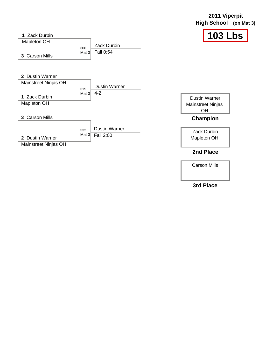|                                                                         |                |                                   | <b>High School</b>                                            | (on Mat $3$ ) |
|-------------------------------------------------------------------------|----------------|-----------------------------------|---------------------------------------------------------------|---------------|
| <b>Zack Durbin</b><br><b>Mapleton OH</b><br>3 Carson Mills              | 306<br>Mat $3$ | <b>Zack Durbin</b><br>Fall 0:54   | <b>103 Lbs</b>                                                |               |
| 2 Dustin Warner<br>Mainstreet Ninjas OH<br>1 Zack Durbin<br>Mapleton OH | 315<br>Mat $3$ | <b>Dustin Warner</b><br>$4 - 2$   | <b>Dustin Warner</b><br><b>Mainstreet Ninjas</b><br><b>OH</b> |               |
| 3 Carson Mills                                                          |                |                                   | Champion                                                      |               |
| 2 Dustin Warner<br>Mainstreet Ninjas OH                                 | 332<br>Mat $3$ | <b>Dustin Warner</b><br>Fall 2:00 | Zack Durbin<br>Mapleton OH                                    |               |
|                                                                         |                |                                   | 2nd Place                                                     |               |

Carson Mills

**2011 Viperpit**

### **3rd Place**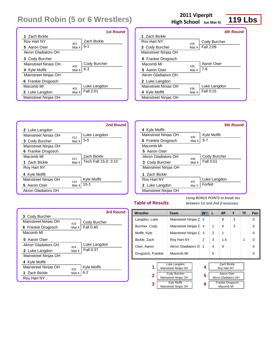|                      |       | 1st Round    |
|----------------------|-------|--------------|
| 1 Zach Bickle        |       |              |
| Roy Hart NY          | 401   | Zach Bickle  |
| 5 Aaron Oser         | Mat 4 | 6-1          |
| Akron Gladiators OH  |       |              |
| 3 Cody Burcher       |       |              |
| Mainstreet Ninias OH | 402   | Cody Burcher |
| 4 Kyle Moffit        | Mat 4 | $6 - 3$      |
| Mainstreet Ninjas OH |       |              |
| 6 Frankie Drogosch   |       |              |
| Macomb MI            | 403   | Luke Langdon |
| 2 Luke Langdon       | Mat 4 | Fall 2:01    |
| Mainstreet Ninjas OH |       |              |

### 2011 Viperpit<br>**h** School (on Mat 4) **119 Lbs High School (on Mat 4)**

|                      |       | 4th Round    |
|----------------------|-------|--------------|
| 1 Zach Bickle        |       |              |
| Rov Hart NY          | 434   | Cody Burcher |
| 3 Cody Burcher       | Mat 4 | Fall 2:09    |
| Mainstreet Ninjas OH |       |              |
| 6 Frankie Drogosch   |       |              |
| Macomb MI            | 435   | Aaron Oser   |
| 5 Aaron Oser         | Mat 4 | 7-6          |
| Akron Gladiators OH  |       |              |
| 2 Luke Langdon       |       |              |
| Mainstreet Ninias OH | 436   | Luke Langdon |
| 4 Kyle Moffit        | Mat 4 | Fall 0:15    |
| Mainstreet Ninjas OH |       |              |
|                      |       |              |





### **Table of Results**

|                      |       | 3rd Round    |
|----------------------|-------|--------------|
| 3 Cody Burcher       |       |              |
| Mainstreet Ninias OH | 423   | Cody Burcher |
| 6 Frankie Drogosch   | Mat 4 | Fall 0:40    |
| Macomb MI            |       |              |
| 5 Aaron Oser         |       |              |
| Akron Gladiators OH  | 424   | Luke Langdon |
| 2 Luke Langdon       | Mat 4 | Fall 0:37    |
| Mainstreet Ninjas OH |       |              |
| 4 Kyle Moffit        |       |              |
| Mainstreet Ninias OH | 425   | Kyle Moffit  |
| 1 Zach Bickle        | Mat 4 | $6 - 2$      |
| Roy Hart NY          |       |              |

| Wrestler          |  | <b>Team</b>          |   | L                | BP                  | F | TF | Pen      |
|-------------------|--|----------------------|---|------------------|---------------------|---|----|----------|
| Langdon, Luke     |  | Mainstreet Ninjas C  | 5 |                  | 8                   | 3 |    | $\Omega$ |
| Burcher, Cody     |  | Mainstreet Ninjas C  | 4 | 1                | 6                   | 3 |    | $\Omega$ |
| Moffit, Kyle      |  | Mainstreet Ninjas C  | 3 | 2                | 1                   |   |    | $\Omega$ |
| Bickle, Zach      |  | Roy Hart NY          | 2 | 3                | 1.5                 |   | 1  | $\Omega$ |
| Oser, Aaron       |  | Akron Gladiators O   | 1 | 4                | $\Omega$            |   |    | $\Omega$ |
| Drogosch, Frankie |  | Macomb MI            |   | 5                |                     |   |    | $\Omega$ |
|                   |  |                      |   |                  |                     |   |    |          |
|                   |  | Luke Langdon         | 4 |                  | Zach Bickle         |   |    |          |
| 1                 |  | Mainstreet Ninjas OH |   |                  | Roy Hart NY         |   |    |          |
|                   |  | Cody Burcher         |   |                  | Aaron Oser          |   |    |          |
| $\mathbf{2}$      |  | Mainstreet Ninjas OH | 5 |                  | Akron Gladiators OH |   |    |          |
| 3                 |  | <b>Kyle Moffit</b>   | 6 | Frankie Drogosch |                     |   |    |          |
|                   |  | Mainstreet Ninjas OH |   |                  | Macomb MI           |   |    |          |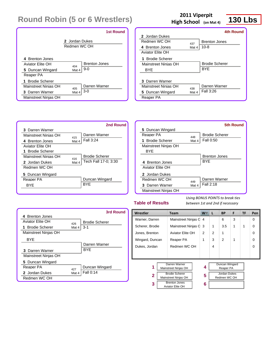|                                            |                                | <b>1st Round</b>              |
|--------------------------------------------|--------------------------------|-------------------------------|
|                                            | 2 Jordan Dukes<br>Redmen WC OH |                               |
| 4 Brenton Jones<br><b>Aviator Elite OH</b> | 404                            | <b>Brenton Jones</b><br>$9-0$ |
| 5 Duncan Wingard<br>Reaper PA              | Mat 4                          |                               |
| 1 Brodie Scherer                           |                                |                               |
| Mainstreet Ninias OH                       | 405                            | Darren Warner                 |
| 3 Darren Warner                            | Mat 4                          | $3-0$                         |
| Mainstreet Ninjas OH                       |                                |                               |

### 2011 Viperpit<br>
th School (on Mat 4) 130 Lbs **High School (on Mat 4)**



|                             |       | <b>4th Round</b>      |
|-----------------------------|-------|-----------------------|
| 2 Jordan Dukes              |       |                       |
| Redmen WC OH                | 437   | <b>Brenton Jones</b>  |
| 4 Brenton Jones             | Mat 4 | $10 - 8$              |
| Aviator Flite OH            |       |                       |
| <b>Brodie Scherer</b><br>1. |       |                       |
| Mainstreet Ninias OH        |       | <b>Brodie Scherer</b> |
| BYF                         |       | <b>BYF</b>            |
|                             |       |                       |
| 3 Darren Warner             |       |                       |
| Mainstreet Ninias OH        | 438   | Darren Warner         |
| 5 Duncan Wingard            | Mat 4 | Fall 3:26             |
| Reaper PA                   |       |                       |

|                         |       | 2nd Round             |
|-------------------------|-------|-----------------------|
| 3 Darren Warner         |       |                       |
| Mainstreet Ninias OH    | 415   | Darren Warner         |
| 4 Brenton Jones         | Mat 4 | Fall $3:24$           |
| <b>Aviator Elite OH</b> |       |                       |
| 1 Brodie Scherer        |       |                       |
| Mainstreet Ninias OH    | 416   | <b>Brodie Scherer</b> |
| 2 Jordan Dukes          | Mat 4 | Tech Fall 17-0; 3:30  |
| Redmen WC OH            |       |                       |
| 5 Duncan Wingard        |       |                       |
| Reaper PA               |       | Duncan Wingard        |
| BYF                     |       | <b>BYF</b>            |
|                         |       |                       |

|                      |       | 5th Round             |
|----------------------|-------|-----------------------|
| 5 Duncan Wingard     |       |                       |
| Reaper PA            | 448   | <b>Brodie Scherer</b> |
| 1 Brodie Scherer     | Mat 4 | Fall 0:50             |
| Mainstreet Ninjas OH |       |                       |
| BYF                  |       |                       |
|                      |       | <b>Brenton Jones</b>  |
| 4 Brenton Jones      |       | <b>BYF</b>            |
| Aviator Flite OH     |       |                       |
| 2. Jordan Dukes      |       |                       |
| Redmen WC OH         | 449   | Darren Warner         |
| 3 Darren Warner      | Mat 4 | Fall 2:18             |
| Mainstreet Ninjas OH |       |                       |

#### **Table of Results**

|                      |       | 3rd Round             |
|----------------------|-------|-----------------------|
| 4 Brenton Jones      |       |                       |
| Aviator Flite OH     | 426   | <b>Brodie Scherer</b> |
| 1 Brodie Scherer     | Mat 4 | $3-1$                 |
| Mainstreet Ninjas OH |       |                       |
| <b>BYF</b>           |       |                       |
|                      |       | Darren Warner         |
| 3 Darren Warner      |       | <b>BYF</b>            |
| Mainstreet Ninjas OH |       |                       |
| 5 Duncan Wingard     |       |                       |
| Reaper PA            | 427   | Duncan Wingard        |
| 2 Jordan Dukes       | Mat 4 | Fall 0:14             |
| Redmen WC OH         |       |                       |

| Wrestler                                           | <b>Team</b>                           | W | L              | <b>BP</b>                           | F | TF | Pen      |
|----------------------------------------------------|---------------------------------------|---|----------------|-------------------------------------|---|----|----------|
| Warner, Darren                                     | Mainstreet Ninjas C 4                 |   |                | 6                                   | 3 |    | 0        |
| Scherer, Brodie                                    | Mainstreet Ninjas C 3                 |   | 1              | 3.5                                 | 1 | 1  | $\Omega$ |
| Jones, Brenton                                     | Aviator Elite OH                      | 2 | $\overline{2}$ | 1                                   |   |    | 0        |
| Wingard, Duncan                                    | Reaper PA                             |   | 3              | 2                                   | 1 |    | $\Omega$ |
| Redmen WC OH<br>Dukes, Jordan                      |                                       |   | 4              |                                     |   |    | $\Omega$ |
|                                                    |                                       |   |                |                                     |   |    |          |
|                                                    |                                       |   |                |                                     |   |    |          |
| 1                                                  | Darren Warner<br>Mainstreet Ninjas OH |   |                | Duncan Wingard<br>Reaper PA         |   |    |          |
| <b>Brodie Scherer</b><br>2<br>Mainstreet Ninjas OH |                                       | 5 |                | <b>Jordan Dukes</b><br>Redmen WC OH |   |    |          |
| <b>Brenton Jones</b><br>3<br>Aviator Elite OH      |                                       | 6 |                |                                     |   |    |          |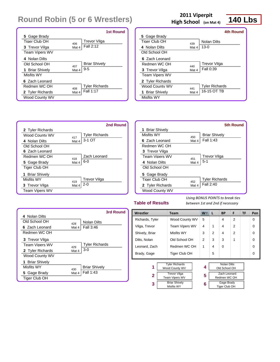|                       |       | <b>1st Round</b>      |
|-----------------------|-------|-----------------------|
| 5 Gage Brady          |       |                       |
| Tiger Club OH         | 406   | Trevor Vilga          |
| <b>3</b> Trevor Vilga | Mat 4 | Fall 2:12             |
| <b>Team Vipers WV</b> |       |                       |
| 4 Nolan Dilts         |       |                       |
| Old School OH         | 407   | <b>Briar Shively</b>  |
| 1 Briar Shively       | Mat 4 | $9 - 5$               |
| Misfits WY            |       |                       |
| 6 Zach Leonard        |       |                       |
| Redmen WC OH          | 408   | <b>Tyler Richards</b> |
| 2 Tyler Richards      | Mat 4 | Fall 1:17             |
| <b>Wood County WV</b> |       |                       |

### 2011 Viperpit<br>**h** School (on Mat 4) **140 Lbs High School (on Mat 4)**



|                       |       | 4th Round             |
|-----------------------|-------|-----------------------|
| 5 Gage Brady          |       |                       |
| Tiger Club OH         | 439   | Nolan Dilts           |
| 4 Nolan Dilts         | Mat 4 | $13-0$                |
| Old School OH         |       |                       |
| 6 Zach Leonard        |       |                       |
| Redmen WC OH          | 440   | <b>Trevor Vilga</b>   |
| 3 Trevor Vilga        | Mat 4 | Fall 0:39             |
| <b>Team Vipers WV</b> |       |                       |
| 2 Tyler Richards      |       |                       |
| Wood County WV        | 441   | <b>Tyler Richards</b> |
| 1 Briar Shively       | Mat 4 | 16-15 OT TB           |
| <b>Misfits WY</b>     |       |                       |



|                        |       | <b>5th Round</b>      |
|------------------------|-------|-----------------------|
| <b>1 Briar Shively</b> |       |                       |
| Misfits WY             | 450   | <b>Briar Shively</b>  |
| 6 Zach Leonard         | Mat 4 | Fall 1:43             |
| Redmen WC OH           |       |                       |
| <b>3</b> Trevor Vilga  |       |                       |
| <b>Team Viners WV</b>  | 451   | Trevor Vilga          |
| 4 Nolan Dilts          | Mat 4 | $5-1$                 |
| Old School OH          |       |                       |
| 5 Gage Brady           |       |                       |
| Tiger Club OH          | 452   | <b>Tyler Richards</b> |
| 2 Tyler Richards       | Mat 4 | Fall 2:40             |
| Wood County WV         |       |                       |

### **Table of Results**

|                       |       | 3rd Round             |
|-----------------------|-------|-----------------------|
| 4 Nolan Dilts         |       |                       |
| Old School OH         | 428   | <b>Nolan Dilts</b>    |
| 6 Zach Leonard        | Mat 4 | Fall 3:46             |
| Redmen WC OH          |       |                       |
| <b>3</b> Trevor Vilga |       |                       |
| <b>Team Viners WV</b> | 429   | <b>Tyler Richards</b> |
| 2 Tyler Richards      | Mat 4 | $3-0$                 |
| Wood County WV        |       |                       |
| 1 Briar Shively       |       |                       |
| Misfits WY            | 430   | <b>Briar Shively</b>  |
| 5 Gage Brady          | Mat 4 | Fall 1:43             |
| Tiger Club OH         |       |                       |

| Wrestler        | Team                                    |  | W.             | L | <b>BP</b>                           | F              | TF | Pen      |
|-----------------|-----------------------------------------|--|----------------|---|-------------------------------------|----------------|----|----------|
| Richards, Tyler | Wood County WV                          |  | 5              |   | 4                                   | 2              |    | 0        |
| Vilga, Trevor   | <b>Team Vipers WV</b>                   |  | 4              | 1 | 4                                   | $\overline{2}$ |    | 0        |
| Shively, Briar  | Misfits WY                              |  | 3              | 2 | 4                                   | $\overline{2}$ |    | 0        |
| Dilts, Nolan    | Old School OH                           |  | $\overline{2}$ | 3 | 3                                   | 1              |    | 0        |
| Leonard, Zach   | Redmen WC OH                            |  | 1              | 4 | $\Omega$                            |                |    | $\Omega$ |
| Brady, Gage     | Tiger Club OH                           |  |                | 5 |                                     |                |    | 0        |
|                 |                                         |  |                |   |                                     |                |    |          |
| 1               | <b>Tyler Richards</b><br>Wood County WV |  | 4              |   | <b>Nolan Dilts</b><br>Old School OH |                |    |          |
| $\mathbf{2}$    | <b>Trevor Vilga</b>                     |  | 5              |   | Zach Leonard                        |                |    |          |
|                 | Team Vipers WV                          |  |                |   | Redmen WC OH                        |                |    |          |
| 3               | <b>Briar Shively</b>                    |  | 6              |   | Gage Brady                          |                |    |          |
|                 | Misfits WY                              |  |                |   | Tiger Club OH                       |                |    |          |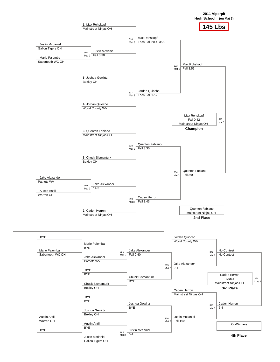

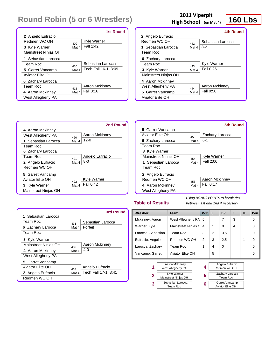|                      |       | <b>1st Round</b>     |
|----------------------|-------|----------------------|
| 2 Angelo Eufracio    |       |                      |
| Redmen WC OH         | 409   | Kyle Warner          |
| 3 Kyle Warner        | Mat 4 | Fall 1:42            |
| Mainstreet Ninjas OH |       |                      |
| 1 Sebastian Larocca  |       |                      |
| Team Roc             | 410   | Sebastian Larocca    |
| 5 Garret Vancamp     | Mat 4 | Tech Fall 16-1: 3:09 |
| Aviator Elite OH     |       |                      |
| 6 Zachary Larocca    |       |                      |
| Team Roc             | 411   | Aaron Mckinney       |
| 4 Aaron Mckinney     | Mat 4 | Fall 0:16            |
| West Allegheny PA    |       |                      |

### 2011 Viperpit<br> **160 Lbs**<br> **160 Lbs High School (on Mat 4)**

|                      |       | 4th Round         |
|----------------------|-------|-------------------|
| 2 Angelo Eufracio    |       |                   |
| Redmen WC OH         | 442   | Sebastian Larocca |
| 1 Sebastian Larocca  | Mat 4 | 8-2               |
| Team Roc             |       |                   |
| 6 Zachary Larocca    |       |                   |
| Team Roc             | 443   | Kyle Warner       |
| 3 Kyle Warner        | Mat 4 | Fall 0:26         |
| Mainstreet Ninjas OH |       |                   |
| 4 Aaron Mckinney     |       |                   |
| West Allegheny PA    | 444   | Aaron Mckinney    |
| 5 Garret Vancamp     | Mat 4 | Fall 0:50         |
| Aviator Elite OH     |       |                   |
|                      |       |                   |

|                      |       | 2nd Round       |
|----------------------|-------|-----------------|
| 4 Aaron Mckinney     |       |                 |
| West Allegheny PA    | 420   | Aaron Mckinney  |
| 1 Sebastian Larocca  | Mat 4 | 12-0            |
| Team Roc             |       |                 |
| 6 Zachary Larocca    |       |                 |
| Team Roc             | 421   | Angelo Eufracio |
| 2 Angelo Eufracio    | Mat 4 | $8-0$           |
| Redmen WC OH         |       |                 |
| 5 Garret Vancamp     |       |                 |
| Aviator Flite OH     | 422   | Kyle Warner     |
| 3 Kyle Warner        | Mat 4 | Fall 0:42       |
| Mainstreet Ninjas OH |       |                 |

|                      |       | <b>5th Round</b> |
|----------------------|-------|------------------|
| 5 Garret Vancamp     |       |                  |
| Aviator Flite OH     | 453   | Zachary Larocca  |
| 6 Zachary Larocca    | Mat 4 | 6-1              |
| Team Roc             |       |                  |
| 3 Kyle Warner        |       |                  |
| Mainstreet Ninias OH | 454   | Kyle Warner      |
| 1 Sebastian Larocca  | Mat 4 | Fall 2:00        |
| Team Roc             |       |                  |
| 2 Angelo Eufracio    |       |                  |
| Redmen WC OH         | 455   | Aaron Mckinney   |
| 4 Aaron Mckinney     | Mat 4 | Fall 0:17        |
| West Allegheny PA    |       |                  |

### **Table of Results**

|                      |       | 3rd Round            |
|----------------------|-------|----------------------|
| 1 Sebastian Larocca  |       |                      |
| Team Roc             | 431   | Sebastian Larocca    |
| 6 Zachary Larocca    | Mat 4 | Forfeit              |
| Team Roc             |       |                      |
| 3 Kyle Warner        |       |                      |
| Mainstreet Ninias OH | 432   | Aaron Mckinney       |
| 4 Aaron Mckinney     | Mat 4 | 4- $\Omega$          |
| West Allegheny PA    |       |                      |
| 5 Garret Vancamp     |       |                      |
| Aviator Elite OH     | 433   | Angelo Eufracio      |
| 2 Angelo Eufracio    | Mat 4 | Tech Fall 17-1; 3:41 |
| Redmen WC OH         |       |                      |

| Wrestler           |                                     | <b>Team</b>         | <b>W</b> | L | <b>BP</b>                       | F        | TF | Pen |   |
|--------------------|-------------------------------------|---------------------|----------|---|---------------------------------|----------|----|-----|---|
| Mckinney, Aaron    |                                     | West Allegheny PA   | 5        |   | 7                               | 3        |    | 0   |   |
| Warner, Kyle       |                                     | Mainstreet Ninjas C | 4        | 1 | 8                               | 4        |    | 0   |   |
| Larocca, Sebastian |                                     | Team Roc            | 3        | 2 | 3.5                             |          | 1  | 0   |   |
| Eufracio, Angelo   |                                     | Redmen WC OH        | 2        | 3 | 2.5                             |          | 1  | 0   |   |
| Larocca, Zachary   |                                     | Team Roc            |          | 1 | 4                               | $\Omega$ |    |     | 0 |
| Vancamp, Garret    | Aviator Elite OH                    |                     |          |   | 5                               |          |    |     | 0 |
|                    |                                     |                     |          |   |                                 |          |    |     |   |
| 1                  | Aaron Mckinney<br>West Allegheny PA |                     |          | 4 | Angelo Eufracio<br>Redmen WC OH |          |    |     |   |
|                    | <b>Kyle Warner</b>                  |                     |          |   | Zachary Larocca                 |          |    |     |   |
|                    | 2<br>Mainstreet Ninjas OH           |                     |          | 5 | Team Roc                        |          |    |     |   |
| 3                  |                                     | Sebastian Larocca   |          | 6 | Garret Vancamp                  |          |    |     |   |
|                    |                                     | Team Roc            |          |   | Aviator Elite OH                |          |    |     |   |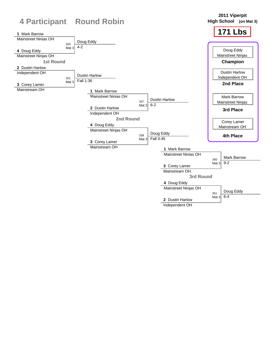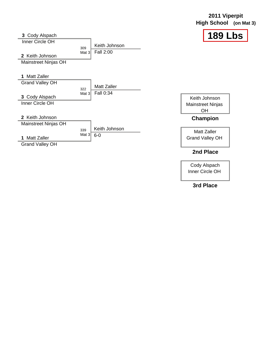### **2011 Viperpit High School (on Mat 3)**



| 3 Cody Alspach                          |                 |                        |                                              |
|-----------------------------------------|-----------------|------------------------|----------------------------------------------|
| Inner Circle OH                         |                 | Keith Johnson          |                                              |
| 2 Keith Johnson<br>Mainstreet Ninjas OH | 309<br>Mat $31$ | Fall 2:00              |                                              |
| 1 Matt Zaller                           |                 |                        |                                              |
| <b>Grand Valley OH</b>                  | 322             | <b>Matt Zaller</b>     |                                              |
| 3 Cody Alspach                          | Mat $31$        | Fall 0:34              | Keith Johnson                                |
| Inner Circle OH                         |                 |                        | Mainstreet Ninjas<br><b>OH</b>               |
| 2 Keith Johnson                         |                 |                        | Champion                                     |
| Mainstreet Ninjas OH                    |                 |                        |                                              |
| <b>Matt Zaller</b><br>1                 | 339<br>Mat $3$  | Keith Johnson<br>$6-0$ | <b>Matt Zaller</b><br><b>Grand Valley OH</b> |
| <b>Grand Valley OH</b>                  |                 |                        |                                              |

### **2nd Place**

Cody Alspach Inner Circle OH

**3rd Place**